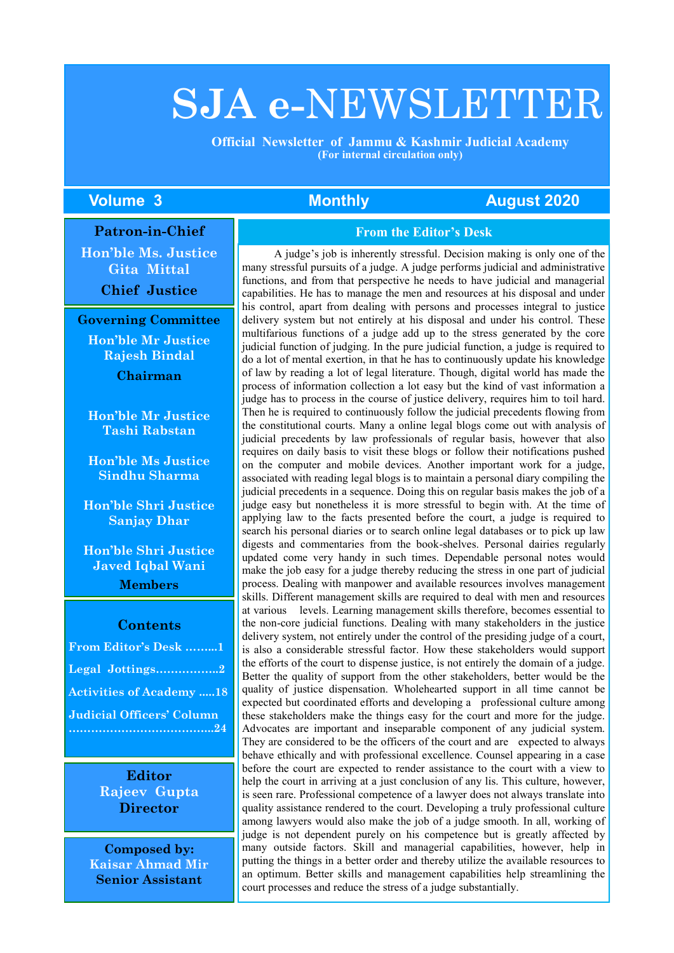# **SJA e-**NEWSLETTER

 **Official Newsletter of Jammu & Kashmir Judicial Academy (For internal circulation only)**

### **Volume 3 Monthly August 2020**

#### **Patron-in-Chief**

**Hon'ble Ms. Justice Gita Mittal**

**Chief Justice**

**Governing Committee Hon'ble Mr Justice Rajesh Bindal Chairman**

**Hon'ble Mr Justice Tashi Rabstan**

**Hon'ble Ms Justice Sindhu Sharma**

**Hon'ble Shri Justice Sanjay Dhar**

**Hon'ble Shri Justice Javed Iqbal Wani Members**

#### **Contents**

| From Editor's Desk 1             |
|----------------------------------|
| Legal Jottings2                  |
| <b>Activities of Academy 18</b>  |
| <b>Judicial Officers' Column</b> |
|                                  |

**Editor Rajeev Gupta Director**

**Composed by: Kaisar Ahmad Mir Senior Assistant**

#### **From the Editor's Desk**

A judge's job is inherently stressful. Decision making is only one of the many stressful pursuits of a judge. A judge performs judicial and administrative functions, and from that perspective he needs to have judicial and managerial capabilities. He has to manage the men and resources at his disposal and under his control, apart from dealing with persons and processes integral to justice delivery system but not entirely at his disposal and under his control. These multifarious functions of a judge add up to the stress generated by the core judicial function of judging. In the pure judicial function, a judge is required to do a lot of mental exertion, in that he has to continuously update his knowledge of law by reading a lot of legal literature. Though, digital world has made the process of information collection a lot easy but the kind of vast information a judge has to process in the course of justice delivery, requires him to toil hard. Then he is required to continuously follow the judicial precedents flowing from the constitutional courts. Many a online legal blogs come out with analysis of judicial precedents by law professionals of regular basis, however that also requires on daily basis to visit these blogs or follow their notifications pushed on the computer and mobile devices. Another important work for a judge, associated with reading legal blogs is to maintain a personal diary compiling the judicial precedents in a sequence. Doing this on regular basis makes the job of a judge easy but nonetheless it is more stressful to begin with. At the time of applying law to the facts presented before the court, a judge is required to search his personal diaries or to search online legal databases or to pick up law digests and commentaries from the book-shelves. Personal dairies regularly updated come very handy in such times. Dependable personal notes would make the job easy for a judge thereby reducing the stress in one part of judicial process. Dealing with manpower and available resources involves management skills. Different management skills are required to deal with men and resources at various levels. Learning management skills therefore, becomes essential to the non-core judicial functions. Dealing with many stakeholders in the justice delivery system, not entirely under the control of the presiding judge of a court, is also a considerable stressful factor. How these stakeholders would support the efforts of the court to dispense justice, is not entirely the domain of a judge. Better the quality of support from the other stakeholders, better would be the quality of justice dispensation. Wholehearted support in all time cannot be expected but coordinated efforts and developing a professional culture among these stakeholders make the things easy for the court and more for the judge. Advocates are important and inseparable component of any judicial system. They are considered to be the officers of the court and are expected to always behave ethically and with professional excellence. Counsel appearing in a case before the court are expected to render assistance to the court with a view to help the court in arriving at a just conclusion of any lis. This culture, however, is seen rare. Professional competence of a lawyer does not always translate into quality assistance rendered to the court. Developing a truly professional culture among lawyers would also make the job of a judge smooth. In all, working of judge is not dependent purely on his competence but is greatly affected by many outside factors. Skill and managerial capabilities, however, help in putting the things in a better order and thereby utilize the available resources to an optimum. Better skills and management capabilities help streamlining the court processes and reduce the stress of a judge substantially.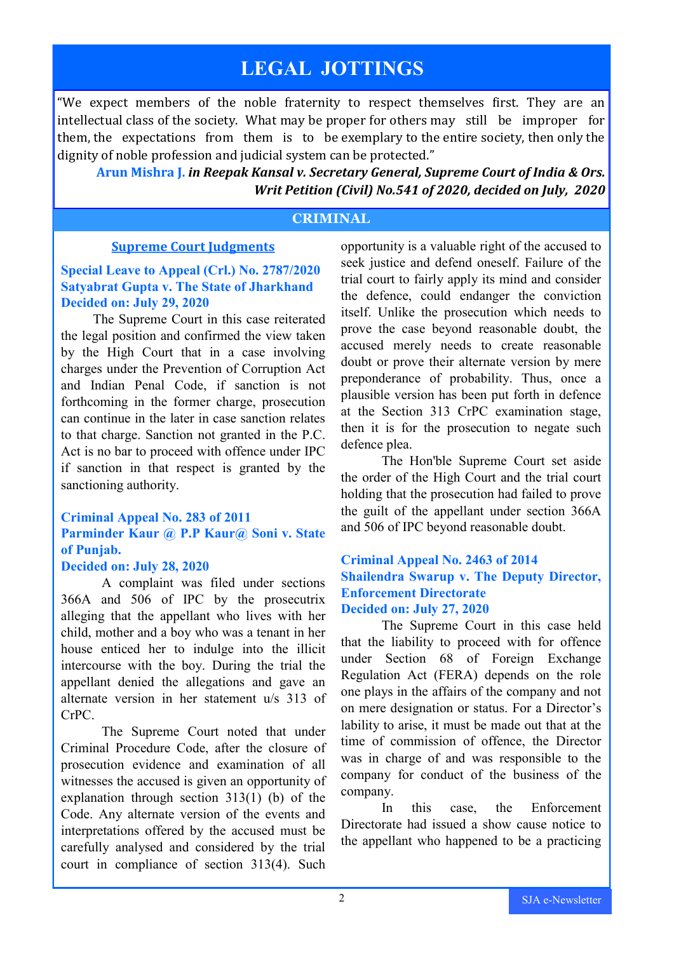## **LEGAL JOTTINGS**

"We expect members of the noble fraternity to respect themselves first. They are an intellectual class of the society. What may be proper for others may still be improper for them, the expectations from them is to be exemplary to the entire society, then only the dignity of noble profession and judicial system can be protected."

**Arun Mishra J.** *in Reepak Kansal v. Secretary General, Supreme Court of India & Ors. Writ Petition (Civil) No.541 of 2020, decided on July, 2020* 

### **CRIMINAL**

### **Supreme Court Judgments**

### **Special Leave to Appeal (Crl.) No. 2787/2020 Satyabrat Gupta v. The State of Jharkhand Decided on: July 29, 2020**

The Supreme Court in this case reiterated the legal position and confirmed the view taken by the High Court that in a case involving charges under the Prevention of Corruption Act and Indian Penal Code, if sanction is not forthcoming in the former charge, prosecution can continue in the later in case sanction relates to that charge. Sanction not granted in the P.C. Act is no bar to proceed with offence under IPC if sanction in that respect is granted by the sanctioning authority.

### **Criminal Appeal No. 283 of 2011 Parminder Kaur @ P.P Kaur@ Soni v. State of Punjab.**

### **Decided on: July 28, 2020**

A complaint was filed under sections 366A and 506 of IPC by the prosecutrix alleging that the appellant who lives with her child, mother and a boy who was a tenant in her house enticed her to indulge into the illicit intercourse with the boy. During the trial the appellant denied the allegations and gave an alternate version in her statement u/s 313 of CrPC.

The Supreme Court noted that under Criminal Procedure Code, after the closure of prosecution evidence and examination of all witnesses the accused is given an opportunity of explanation through section 313(1) (b) of the Code. Any alternate version of the events and interpretations offered by the accused must be carefully analysed and considered by the trial court in compliance of section 313(4). Such

opportunity is a valuable right of the accused to seek justice and defend oneself. Failure of the trial court to fairly apply its mind and consider the defence, could endanger the conviction itself. Unlike the prosecution which needs to prove the case beyond reasonable doubt, the accused merely needs to create reasonable doubt or prove their alternate version by mere preponderance of probability. Thus, once a plausible version has been put forth in defence at the Section 313 CrPC examination stage, then it is for the prosecution to negate such defence plea.

The Hon'ble Supreme Court set aside the order of the High Court and the trial court holding that the prosecution had failed to prove the guilt of the appellant under section 366A and 506 of IPC beyond reasonable doubt.

### **Criminal Appeal No. 2463 of 2014 Shailendra Swarup v. The Deputy Director, Enforcement Directorate Decided on: July 27, 2020**

The Supreme Court in this case held that the liability to proceed with for offence under Section 68 of Foreign Exchange Regulation Act (FERA) depends on the role one plays in the affairs of the company and not on mere designation or status. For a Director's lability to arise, it must be made out that at the time of commission of offence, the Director was in charge of and was responsible to the company for conduct of the business of the company.

In this case, the Enforcement Directorate had issued a show cause notice to the appellant who happened to be a practicing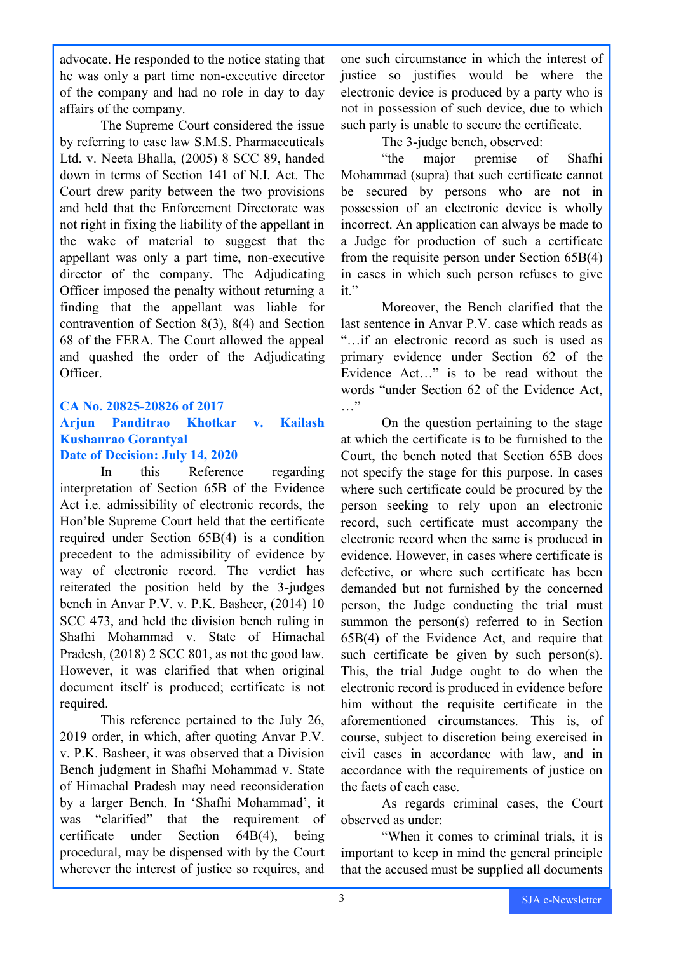advocate. He responded to the notice stating that he was only a part time non-executive director of the company and had no role in day to day affairs of the company.

The Supreme Court considered the issue by referring to case law S.M.S. Pharmaceuticals Ltd. v. Neeta Bhalla, (2005) 8 SCC 89, handed down in terms of Section 141 of N.I. Act. The Court drew parity between the two provisions and held that the Enforcement Directorate was not right in fixing the liability of the appellant in the wake of material to suggest that the appellant was only a part time, non-executive director of the company. The Adjudicating Officer imposed the penalty without returning a finding that the appellant was liable for contravention of Section 8(3), 8(4) and Section 68 of the FERA. The Court allowed the appeal and quashed the order of the Adjudicating Officer.

### **CA No. 20825-20826 of 2017**

### **Arjun Panditrao Khotkar v. Kailash Kushanrao Gorantyal Date of Decision: July 14, 2020**

In this Reference regarding interpretation of Section 65B of the Evidence Act i.e. admissibility of electronic records, the Hon'ble Supreme Court held that the certificate required under Section 65B(4) is a condition precedent to the admissibility of evidence by way of electronic record. The verdict has reiterated the position held by the 3-judges bench in Anvar P.V. v. P.K. Basheer, (2014) 10 SCC 473, and held the division bench ruling in Shafhi Mohammad v. State of Himachal Pradesh, (2018) 2 SCC 801, as not the good law. However, it was clarified that when original document itself is produced; certificate is not required.

This reference pertained to the July 26, 2019 order, in which, after quoting Anvar P.V. v. P.K. Basheer, it was observed that a Division Bench judgment in Shafhi Mohammad v. State of Himachal Pradesh may need reconsideration by a larger Bench. In 'Shafhi Mohammad', it was "clarified" that the requirement of certificate under Section 64B(4), being procedural, may be dispensed with by the Court wherever the interest of justice so requires, and

one such circumstance in which the interest of justice so justifies would be where the electronic device is produced by a party who is not in possession of such device, due to which such party is unable to secure the certificate.

The 3-judge bench, observed:

"the major premise of Shafhi Mohammad (supra) that such certificate cannot be secured by persons who are not in possession of an electronic device is wholly incorrect. An application can always be made to a Judge for production of such a certificate from the requisite person under Section 65B(4) in cases in which such person refuses to give it."

Moreover, the Bench clarified that the last sentence in Anvar P.V. case which reads as "…if an electronic record as such is used as primary evidence under Section 62 of the Evidence Act…" is to be read without the words "under Section 62 of the Evidence Act, …

On the question pertaining to the stage at which the certificate is to be furnished to the Court, the bench noted that Section 65B does not specify the stage for this purpose. In cases where such certificate could be procured by the person seeking to rely upon an electronic record, such certificate must accompany the electronic record when the same is produced in evidence. However, in cases where certificate is defective, or where such certificate has been demanded but not furnished by the concerned person, the Judge conducting the trial must summon the person(s) referred to in Section 65B(4) of the Evidence Act, and require that such certificate be given by such person(s). This, the trial Judge ought to do when the electronic record is produced in evidence before him without the requisite certificate in the aforementioned circumstances. This is, of course, subject to discretion being exercised in civil cases in accordance with law, and in accordance with the requirements of justice on the facts of each case.

As regards criminal cases, the Court observed as under:

"When it comes to criminal trials, it is important to keep in mind the general principle that the accused must be supplied all documents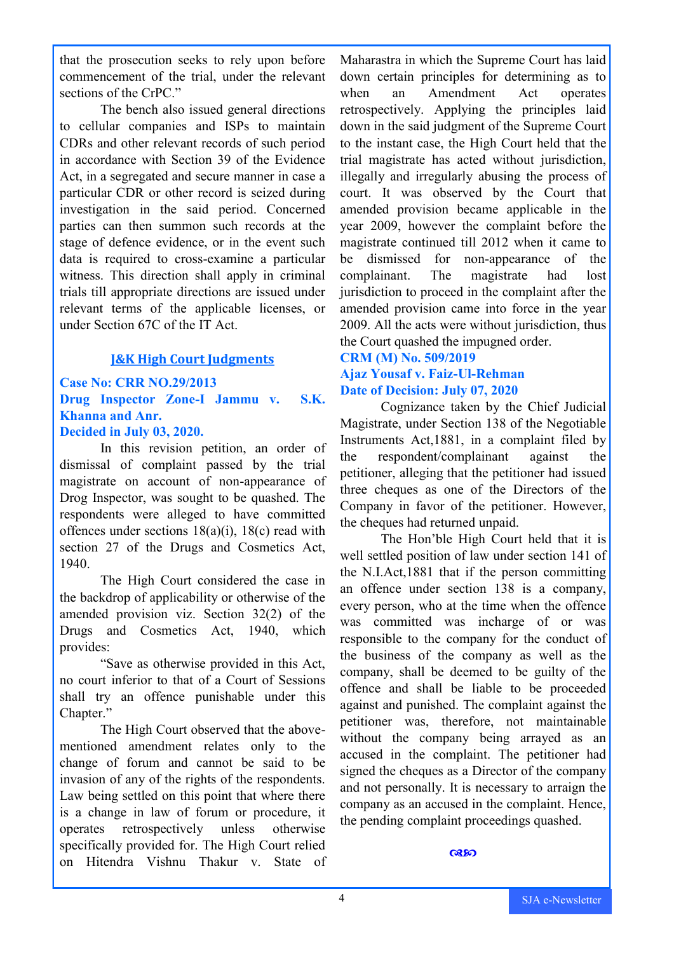that the prosecution seeks to rely upon before commencement of the trial, under the relevant sections of the CrPC."

The bench also issued general directions to cellular companies and ISPs to maintain CDRs and other relevant records of such period in accordance with Section 39 of the Evidence Act, in a segregated and secure manner in case a particular CDR or other record is seized during investigation in the said period. Concerned parties can then summon such records at the stage of defence evidence, or in the event such data is required to cross-examine a particular witness. This direction shall apply in criminal trials till appropriate directions are issued under relevant terms of the applicable licenses, or under Section 67C of the IT Act.

### **J&K High Court Judgments**

### **Case No: CRR NO.29/2013 Drug Inspector Zone-I Jammu v. S.K. Khanna and Anr.**

### **Decided in July 03, 2020.**

In this revision petition, an order of dismissal of complaint passed by the trial magistrate on account of non-appearance of Drog Inspector, was sought to be quashed. The respondents were alleged to have committed offences under sections 18(a)(i), 18(c) read with section 27 of the Drugs and Cosmetics Act, 1940.

The High Court considered the case in the backdrop of applicability or otherwise of the amended provision viz. Section 32(2) of the Drugs and Cosmetics Act, 1940, which provides:

"Save as otherwise provided in this Act, no court inferior to that of a Court of Sessions shall try an offence punishable under this Chapter."

The High Court observed that the abovementioned amendment relates only to the change of forum and cannot be said to be invasion of any of the rights of the respondents. Law being settled on this point that where there is a change in law of forum or procedure, it operates retrospectively unless otherwise specifically provided for. The High Court relied on Hitendra Vishnu Thakur v. State of

Maharastra in which the Supreme Court has laid down certain principles for determining as to when an Amendment Act operates retrospectively. Applying the principles laid down in the said judgment of the Supreme Court to the instant case, the High Court held that the trial magistrate has acted without jurisdiction, illegally and irregularly abusing the process of court. It was observed by the Court that amended provision became applicable in the year 2009, however the complaint before the magistrate continued till 2012 when it came to be dismissed for non-appearance of the complainant. The magistrate had lost jurisdiction to proceed in the complaint after the amended provision came into force in the year 2009. All the acts were without jurisdiction, thus the Court quashed the impugned order.

### **CRM (M) No. 509/2019 Ajaz Yousaf v. Faiz-Ul-Rehman Date of Decision: July 07, 2020**

Cognizance taken by the Chief Judicial Magistrate, under Section 138 of the Negotiable Instruments Act,1881, in a complaint filed by the respondent/complainant against the petitioner, alleging that the petitioner had issued three cheques as one of the Directors of the Company in favor of the petitioner. However, the cheques had returned unpaid.

The Hon'ble High Court held that it is well settled position of law under section 141 of the N.I.Act,1881 that if the person committing an offence under section 138 is a company, every person, who at the time when the offence was committed was incharge of or was responsible to the company for the conduct of the business of the company as well as the company, shall be deemed to be guilty of the offence and shall be liable to be proceeded against and punished. The complaint against the petitioner was, therefore, not maintainable without the company being arrayed as an accused in the complaint. The petitioner had signed the cheques as a Director of the company and not personally. It is necessary to arraign the company as an accused in the complaint. Hence, the pending complaint proceedings quashed.

#### **Q&SO**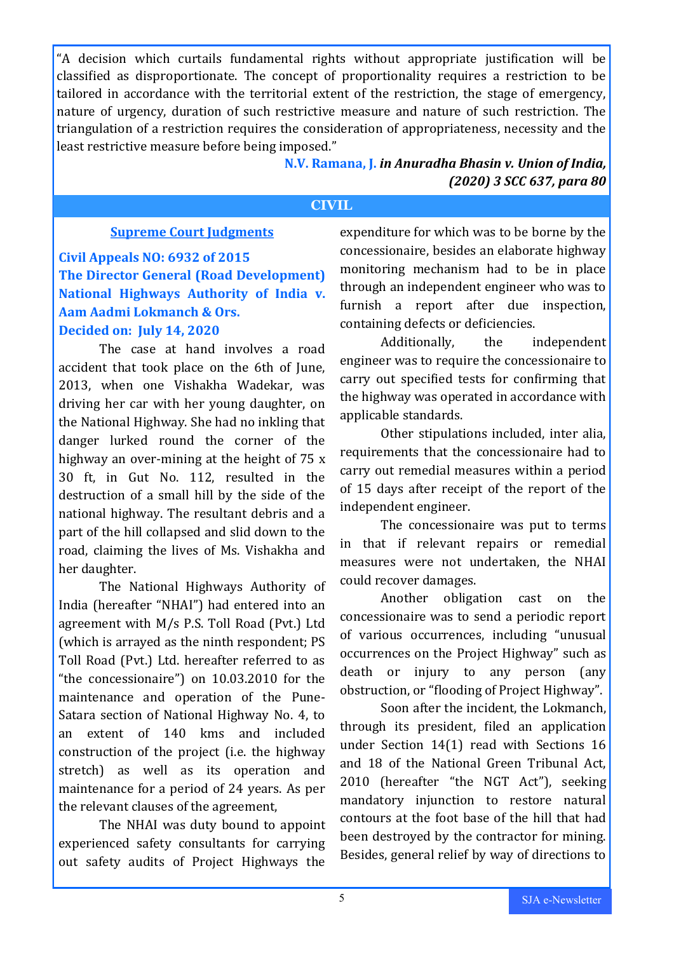"A decision which curtails fundamental rights without appropriate justification will be classified as disproportionate. The concept of proportionality requires a restriction to be tailored in accordance with the territorial extent of the restriction, the stage of emergency, nature of urgency, duration of such restrictive measure and nature of such restriction. The triangulation of a restriction requires the consideration of appropriateness, necessity and the least restrictive measure before being imposed."

> **N.V. Ramana, J.** *in Anuradha Bhasin v. Union of India, (2020) 3 SCC 637, para 80*

### **CIVIL**

### **Supreme Court Judgments**

**Civil Appeals NO: 6932 of 2015 The Director General (Road Development) National Highways Authority of India v. Aam Aadmi Lokmanch & Ors.**

### **Decided on: July 14, 2020**

The case at hand involves a road accident that took place on the 6th of June, 2013, when one Vishakha Wadekar, was driving her car with her young daughter, on the National Highway. She had no inkling that danger lurked round the corner of the highway an over-mining at the height of 75 x 30 ft, in Gut No. 112, resulted in the destruction of a small hill by the side of the national highway. The resultant debris and a part of the hill collapsed and slid down to the road, claiming the lives of Ms. Vishakha and her daughter.

The National Highways Authority of India (hereafter "NHAI") had entered into an agreement with M/s P.S. Toll Road (Pvt.) Ltd (which is arrayed as the ninth respondent; PS Toll Road (Pvt.) Ltd. hereafter referred to as "the concessionaire") on 10.03.2010 for the maintenance and operation of the Pune-Satara section of National Highway No. 4, to an extent of 140 kms and included construction of the project (i.e. the highway stretch) as well as its operation and maintenance for a period of 24 years. As per the relevant clauses of the agreement,

The NHAI was duty bound to appoint experienced safety consultants for carrying out safety audits of Project Highways the

expenditure for which was to be borne by the concessionaire, besides an elaborate highway monitoring mechanism had to be in place through an independent engineer who was to furnish a report after due inspection, containing defects or deficiencies.

Additionally, the independent engineer was to require the concessionaire to carry out specified tests for confirming that the highway was operated in accordance with applicable standards.

Other stipulations included, inter alia, requirements that the concessionaire had to carry out remedial measures within a period of 15 days after receipt of the report of the independent engineer.

The concessionaire was put to terms in that if relevant repairs or remedial measures were not undertaken, the NHAI could recover damages.

Another obligation cast on the concessionaire was to send a periodic report of various occurrences, including "unusual occurrences on the Project Highway" such as death or injury to any person (any obstruction, or "flooding of Project Highway".

Soon after the incident, the Lokmanch, through its president, filed an application under Section 14(1) read with Sections 16 and 18 of the National Green Tribunal Act, 2010 (hereafter "the NGT Act"), seeking mandatory injunction to restore natural contours at the foot base of the hill that had been destroyed by the contractor for mining. Besides, general relief by way of directions to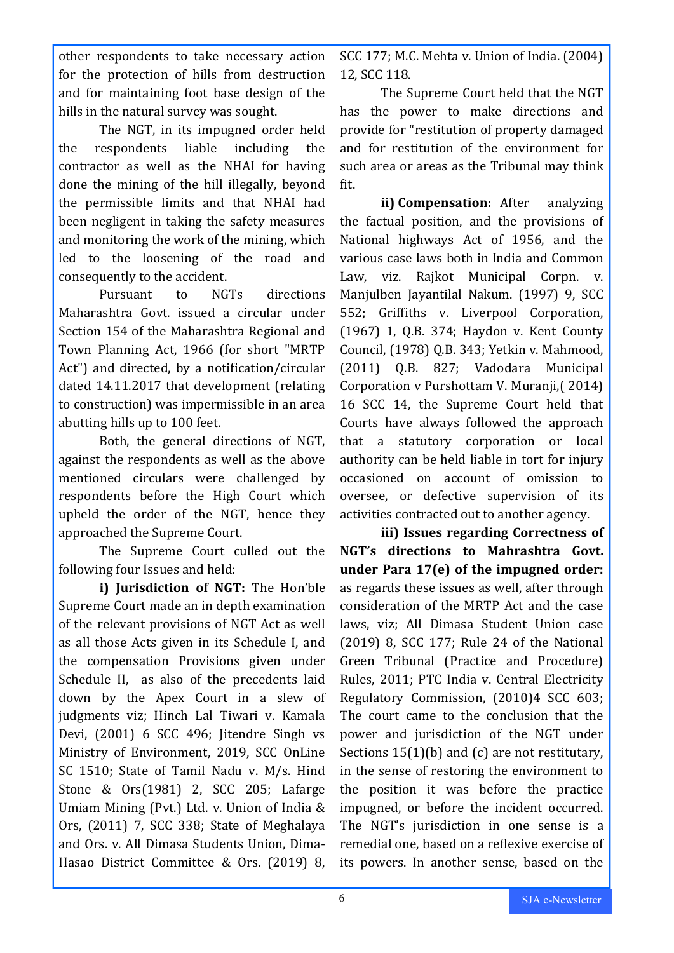other respondents to take necessary action for the protection of hills from destruction and for maintaining foot base design of the hills in the natural survey was sought.

The NGT, in its impugned order held the respondents liable including the contractor as well as the NHAI for having done the mining of the hill illegally, beyond the permissible limits and that NHAI had been negligent in taking the safety measures and monitoring the work of the mining, which led to the loosening of the road and consequently to the accident.

Pursuant to NGTs directions Maharashtra Govt. issued a circular under Section 154 of the Maharashtra Regional and Town Planning Act, 1966 (for short "MRTP Act") and directed, by a notification/circular dated 14.11.2017 that development (relating to construction) was impermissible in an area abutting hills up to 100 feet.

Both, the general directions of NGT, against the respondents as well as the above mentioned circulars were challenged by respondents before the High Court which upheld the order of the NGT, hence they approached the Supreme Court.

The Supreme Court culled out the following four Issues and held:

**i) Jurisdiction of NGT:** The Hon'ble Supreme Court made an in depth examination of the relevant provisions of NGT Act as well as all those Acts given in its Schedule I, and the compensation Provisions given under Schedule II, as also of the precedents laid down by the Apex Court in a slew of judgments viz; Hinch Lal Tiwari v. Kamala Devi, (2001) 6 SCC 496; Jitendre Singh vs Ministry of Environment, 2019, SCC OnLine SC 1510; State of Tamil Nadu v. M/s. Hind Stone & Ors(1981) 2, SCC 205; Lafarge Umiam Mining (Pvt.) Ltd. v. Union of India & Ors, (2011) 7, SCC 338; State of Meghalaya and Ors. v. All Dimasa Students Union, Dima-Hasao District Committee & Ors. (2019) 8,

SCC 177; M.C. Mehta v. Union of India. (2004) 12, SCC 118.

The Supreme Court held that the NGT has the power to make directions and provide for "restitution of property damaged and for restitution of the environment for such area or areas as the Tribunal may think fit.

**ii) Compensation:** After analyzing the factual position, and the provisions of National highways Act of 1956, and the various case laws both in India and Common Law, viz. Rajkot Municipal Corpn. v. Manjulben Jayantilal Nakum. (1997) 9, SCC 552; Griffiths v. Liverpool Corporation, (1967) 1, Q.B. 374; Haydon v. Kent County Council, (1978) Q.B. 343; Yetkin v. Mahmood, (2011) Q.B. 827; Vadodara Municipal Corporation v Purshottam V. Muranji,( 2014) 16 SCC 14, the Supreme Court held that Courts have always followed the approach that a statutory corporation or local authority can be held liable in tort for injury occasioned on account of omission to oversee, or defective supervision of its activities contracted out to another agency.

**iii) Issues regarding Correctness of NGT's directions to Mahrashtra Govt. under Para 17(e) of the impugned order:** as regards these issues as well, after through consideration of the MRTP Act and the case laws, viz; All Dimasa Student Union case (2019) 8, SCC 177; Rule 24 of the National Green Tribunal (Practice and Procedure) Rules, 2011; PTC India v. Central Electricity Regulatory Commission, (2010)4 SCC 603; The court came to the conclusion that the power and jurisdiction of the NGT under Sections 15(1)(b) and (c) are not restitutary, in the sense of restoring the environment to the position it was before the practice impugned, or before the incident occurred. The NGT's jurisdiction in one sense is a remedial one, based on a reflexive exercise of its powers. In another sense, based on the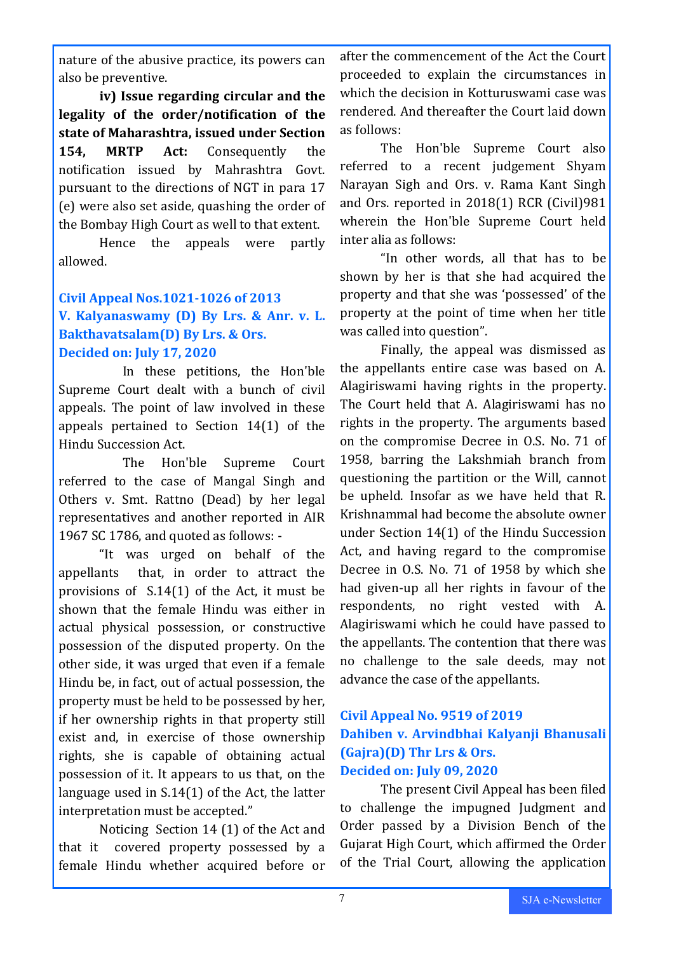nature of the abusive practice, its powers can also be preventive.

**iv) Issue regarding circular and the legality of the order/notification of the state of Maharashtra, issued under Section 154, MRTP Act:** Consequently the notification issued by Mahrashtra Govt. pursuant to the directions of NGT in para 17 (e) were also set aside, quashing the order of the Bombay High Court as well to that extent.

Hence the appeals were partly allowed.

### **Civil Appeal Nos.1021-1026 of 2013 V. Kalyanaswamy (D) By Lrs. & Anr. v. L. Bakthavatsalam(D) By Lrs. & Ors. Decided on: July 17, 2020**

In these petitions, the Hon'ble Supreme Court dealt with a bunch of civil appeals. The point of law involved in these appeals pertained to Section 14(1) of the Hindu Succession Act.

The Hon'ble Supreme Court referred to the case of Mangal Singh and Others v. Smt. Rattno (Dead) by her legal representatives and another reported in AIR 1967 SC 1786, and quoted as follows: -

"It was urged on behalf of the appellants that, in order to attract the provisions of S.14(1) of the Act, it must be shown that the female Hindu was either in actual physical possession, or constructive possession of the disputed property. On the other side, it was urged that even if a female Hindu be, in fact, out of actual possession, the property must be held to be possessed by her, if her ownership rights in that property still exist and, in exercise of those ownership rights, she is capable of obtaining actual possession of it. It appears to us that, on the language used in S.14(1) of the Act, the latter interpretation must be accepted."

Noticing Section 14 (1) of the Act and that it covered property possessed by a female Hindu whether acquired before or

after the commencement of the Act the Court proceeded to explain the circumstances in which the decision in Kotturuswami case was rendered. And thereafter the Court laid down as follows:

The Hon'ble Supreme Court also referred to a recent judgement Shyam Narayan Sigh and Ors. v. Rama Kant Singh and Ors. reported in 2018(1) RCR (Civil)981 wherein the Hon'ble Supreme Court held inter alia as follows:

"In other words, all that has to be shown by her is that she had acquired the property and that she was 'possessed' of the property at the point of time when her title was called into question".

Finally, the appeal was dismissed as the appellants entire case was based on A. Alagiriswami having rights in the property. The Court held that A. Alagiriswami has no rights in the property. The arguments based on the compromise Decree in O.S. No. 71 of 1958, barring the Lakshmiah branch from questioning the partition or the Will, cannot be upheld. Insofar as we have held that R. Krishnammal had become the absolute owner under Section 14(1) of the Hindu Succession Act, and having regard to the compromise Decree in O.S. No. 71 of 1958 by which she had given-up all her rights in favour of the respondents, no right vested with A. Alagiriswami which he could have passed to the appellants. The contention that there was no challenge to the sale deeds, may not advance the case of the appellants.

### **Civil Appeal No. 9519 of 2019 Dahiben v. Arvindbhai Kalyanji Bhanusali (Gajra)(D) Thr Lrs & Ors. Decided on: July 09, 2020**

The present Civil Appeal has been filed to challenge the impugned Judgment and Order passed by a Division Bench of the Gujarat High Court, which affirmed the Order of the Trial Court, allowing the application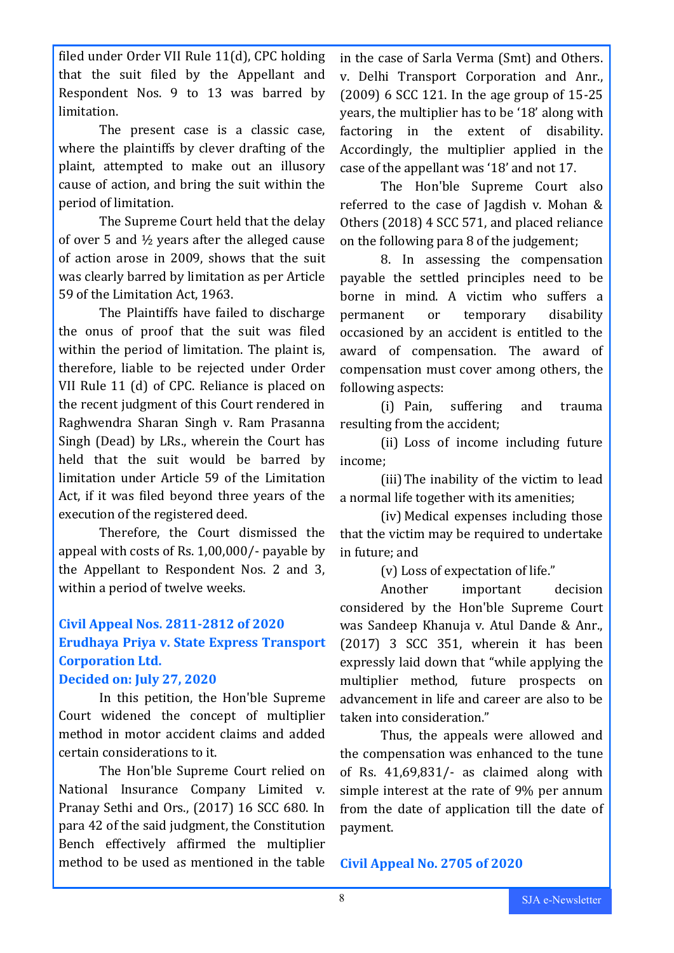filed under Order VII Rule 11(d), CPC holding that the suit filed by the Appellant and Respondent Nos. 9 to 13 was barred by limitation.

The present case is a classic case, where the plaintiffs by clever drafting of the plaint, attempted to make out an illusory cause of action, and bring the suit within the period of limitation.

The Supreme Court held that the delay of over 5 and ½ years after the alleged cause of action arose in 2009, shows that the suit was clearly barred by limitation as per Article 59 of the Limitation Act, 1963.

The Plaintiffs have failed to discharge the onus of proof that the suit was filed within the period of limitation. The plaint is, therefore, liable to be rejected under Order VII Rule 11 (d) of CPC. Reliance is placed on the recent judgment of this Court rendered in Raghwendra Sharan Singh v. Ram Prasanna Singh (Dead) by LRs., wherein the Court has held that the suit would be barred by limitation under Article 59 of the Limitation Act, if it was filed beyond three years of the execution of the registered deed.

Therefore, the Court dismissed the appeal with costs of Rs. 1,00,000/- payable by the Appellant to Respondent Nos. 2 and 3, within a period of twelve weeks.

### **Civil Appeal Nos. 2811-2812 of 2020 Erudhaya Priya v. State Express Transport Corporation Ltd.**

### **Decided on: July 27, 2020**

In this petition, the Hon'ble Supreme Court widened the concept of multiplier method in motor accident claims and added certain considerations to it.

The Hon'ble Supreme Court relied on National Insurance Company Limited v. Pranay Sethi and Ors., (2017) 16 SCC 680. In para 42 of the said judgment, the Constitution Bench effectively affirmed the multiplier method to be used as mentioned in the table in the case of Sarla Verma (Smt) and Others. v. Delhi Transport Corporation and Anr., (2009) 6 SCC 121. In the age group of 15-25 years, the multiplier has to be '18' along with factoring in the extent of disability. Accordingly, the multiplier applied in the case of the appellant was '18' and not 17.

The Hon'ble Supreme Court also referred to the case of Jagdish v. Mohan & Others (2018) 4 SCC 571, and placed reliance on the following para 8 of the judgement;

8. In assessing the compensation payable the settled principles need to be borne in mind. A victim who suffers a permanent or temporary disability occasioned by an accident is entitled to the award of compensation. The award of compensation must cover among others, the following aspects:

(i) Pain, suffering and trauma resulting from the accident;

(ii) Loss of income including future income;

(iii)The inability of the victim to lead a normal life together with its amenities;

(iv) Medical expenses including those that the victim may be required to undertake in future; and

(v) Loss of expectation of life."

Another important decision considered by the Hon'ble Supreme Court was Sandeep Khanuja v. Atul Dande & Anr., (2017) 3 SCC 351, wherein it has been expressly laid down that "while applying the multiplier method, future prospects on advancement in life and career are also to be taken into consideration."

Thus, the appeals were allowed and the compensation was enhanced to the tune of Rs. 41,69,831/- as claimed along with simple interest at the rate of 9% per annum from the date of application till the date of payment.

**Civil Appeal No. 2705 of 2020**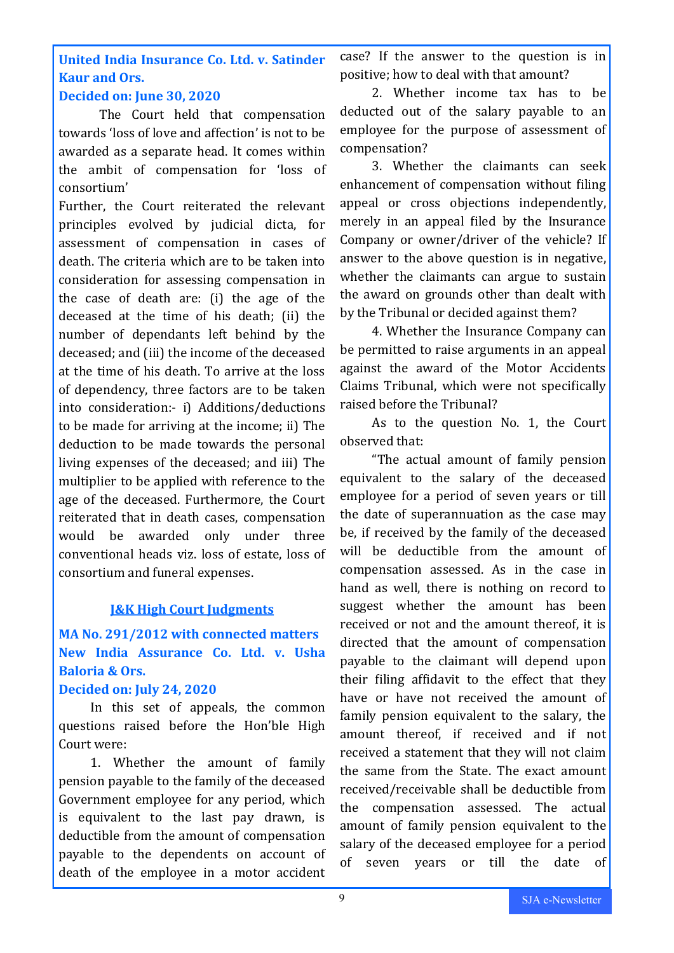**United India Insurance Co. Ltd. v. Satinder Kaur and Ors.**

### **Decided on: June 30, 2020**

The Court held that compensation towards 'loss of love and affection' is not to be awarded as a separate head. It comes within the ambit of compensation for 'loss of consortium'

Further, the Court reiterated the relevant principles evolved by judicial dicta, for assessment of compensation in cases of death. The criteria which are to be taken into consideration for assessing compensation in the case of death are: (i) the age of the deceased at the time of his death; (ii) the number of dependants left behind by the deceased; and (iii) the income of the deceased at the time of his death. To arrive at the loss of dependency, three factors are to be taken into consideration:- i) Additions/deductions to be made for arriving at the income; ii) The deduction to be made towards the personal living expenses of the deceased; and iii) The multiplier to be applied with reference to the age of the deceased. Furthermore, the Court reiterated that in death cases, compensation would be awarded only under three conventional heads viz. loss of estate, loss of consortium and funeral expenses.

### **J&K High Court Judgments**

### **MA No. 291/2012 with connected matters New India Assurance Co. Ltd. v. Usha Baloria & Ors.**

### **Decided on: July 24, 2020**

In this set of appeals, the common questions raised before the Hon'ble High Court were:

1. Whether the amount of family pension payable to the family of the deceased Government employee for any period, which is equivalent to the last pay drawn, is deductible from the amount of compensation payable to the dependents on account of death of the employee in a motor accident case? If the answer to the question is in positive; how to deal with that amount?

2. Whether income tax has to be deducted out of the salary payable to an employee for the purpose of assessment of compensation?

3. Whether the claimants can seek enhancement of compensation without filing appeal or cross objections independently, merely in an appeal filed by the Insurance Company or owner/driver of the vehicle? If answer to the above question is in negative, whether the claimants can argue to sustain the award on grounds other than dealt with by the Tribunal or decided against them?

4. Whether the Insurance Company can be permitted to raise arguments in an appeal against the award of the Motor Accidents Claims Tribunal, which were not specifically raised before the Tribunal?

As to the question No. 1, the Court observed that:

"The actual amount of family pension equivalent to the salary of the deceased employee for a period of seven years or till the date of superannuation as the case may be, if received by the family of the deceased will be deductible from the amount of compensation assessed. As in the case in hand as well, there is nothing on record to suggest whether the amount has been received or not and the amount thereof, it is directed that the amount of compensation payable to the claimant will depend upon their filing affidavit to the effect that they have or have not received the amount of family pension equivalent to the salary, the amount thereof, if received and if not received a statement that they will not claim the same from the State. The exact amount received/receivable shall be deductible from the compensation assessed. The actual amount of family pension equivalent to the salary of the deceased employee for a period of seven years or till the date of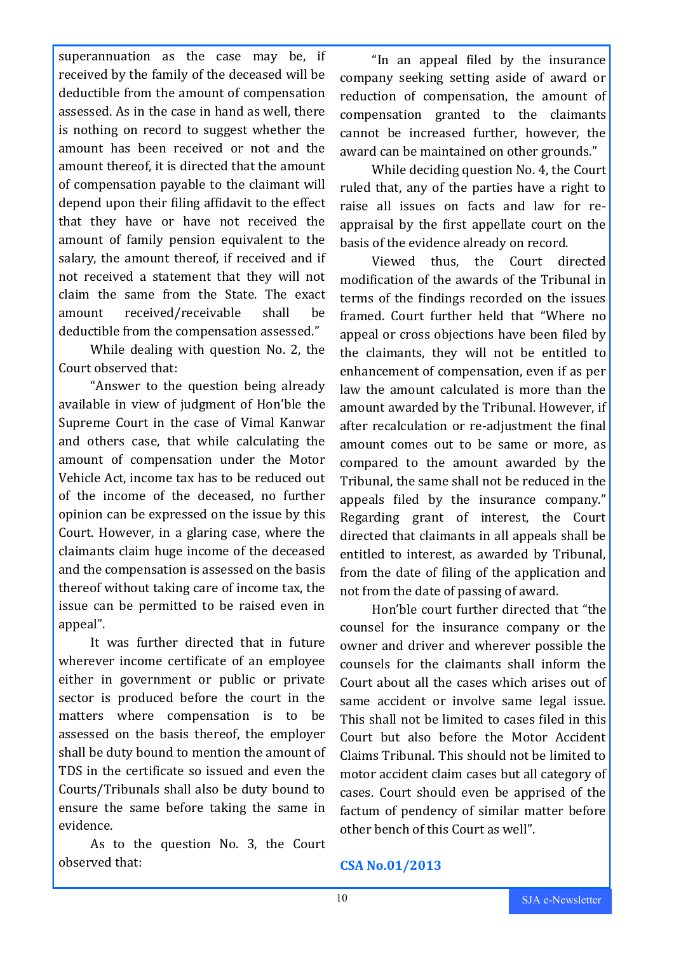superannuation as the case may be, if received by the family of the deceased will be deductible from the amount of compensation assessed. As in the case in hand as well, there is nothing on record to suggest whether the amount has been received or not and the amount thereof, it is directed that the amount of compensation payable to the claimant will depend upon their filing affidavit to the effect that they have or have not received the amount of family pension equivalent to the salary, the amount thereof, if received and if not received a statement that they will not claim the same from the State. The exact amount received/receivable shall be deductible from the compensation assessed."

While dealing with question No. 2, the Court observed that:

"Answer to the question being already available in view of judgment of Hon'ble the Supreme Court in the case of Vimal Kanwar and others case, that while calculating the amount of compensation under the Motor Vehicle Act, income tax has to be reduced out of the income of the deceased, no further opinion can be expressed on the issue by this Court. However, in a glaring case, where the claimants claim huge income of the deceased and the compensation is assessed on the basis thereof without taking care of income tax, the issue can be permitted to be raised even in appeal".

It was further directed that in future wherever income certificate of an employee either in government or public or private sector is produced before the court in the matters where compensation is to be assessed on the basis thereof, the employer shall be duty bound to mention the amount of TDS in the certificate so issued and even the Courts/Tribunals shall also be duty bound to ensure the same before taking the same in evidence.

As to the question No. 3, the Court observed that:

"In an appeal filed by the insurance company seeking setting aside of award or reduction of compensation, the amount of compensation granted to the claimants cannot be increased further, however, the award can be maintained on other grounds."

While deciding question No. 4, the Court ruled that, any of the parties have a right to raise all issues on facts and law for reappraisal by the first appellate court on the basis of the evidence already on record.

Viewed thus, the Court directed modification of the awards of the Tribunal in terms of the findings recorded on the issues framed. Court further held that "Where no appeal or cross objections have been filed by the claimants, they will not be entitled to enhancement of compensation, even if as per law the amount calculated is more than the amount awarded by the Tribunal. However, if after recalculation or re-adjustment the final amount comes out to be same or more, as compared to the amount awarded by the Tribunal, the same shall not be reduced in the appeals filed by the insurance company." Regarding grant of interest, the Court directed that claimants in all appeals shall be entitled to interest, as awarded by Tribunal, from the date of filing of the application and not from the date of passing of award.

Hon'ble court further directed that "the counsel for the insurance company or the owner and driver and wherever possible the counsels for the claimants shall inform the Court about all the cases which arises out of same accident or involve same legal issue. This shall not be limited to cases filed in this Court but also before the Motor Accident Claims Tribunal. This should not be limited to motor accident claim cases but all category of cases. Court should even be apprised of the factum of pendency of similar matter before other bench of this Court as well".

### **CSA No.01/2013**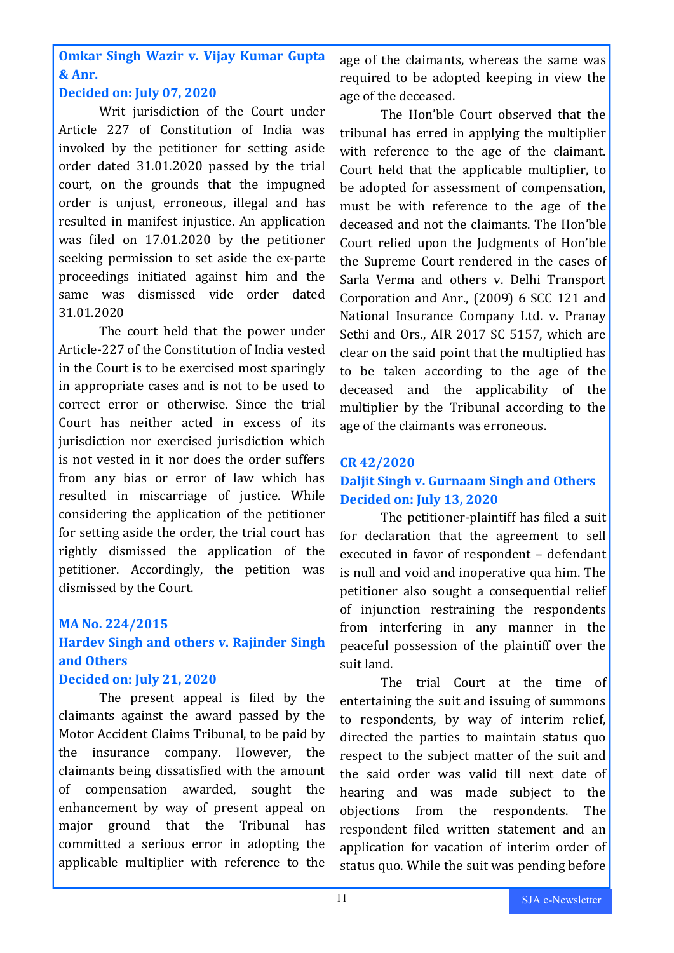**Omkar Singh Wazir v. Vijay Kumar Gupta & Anr.**

### **Decided on: July 07, 2020**

Writ jurisdiction of the Court under Article 227 of Constitution of India was invoked by the petitioner for setting aside order dated 31.01.2020 passed by the trial court, on the grounds that the impugned order is unjust, erroneous, illegal and has resulted in manifest injustice. An application was filed on 17.01.2020 by the petitioner seeking permission to set aside the ex-parte proceedings initiated against him and the same was dismissed vide order dated 31.01.2020

The court held that the power under Article-227 of the Constitution of India vested in the Court is to be exercised most sparingly in appropriate cases and is not to be used to correct error or otherwise. Since the trial Court has neither acted in excess of its jurisdiction nor exercised jurisdiction which is not vested in it nor does the order suffers from any bias or error of law which has resulted in miscarriage of justice. While considering the application of the petitioner for setting aside the order, the trial court has rightly dismissed the application of the petitioner. Accordingly, the petition was dismissed by the Court.

### **MA No. 224/2015 Hardev Singh and others v. Rajinder Singh and Others**

### **Decided on: July 21, 2020**

The present appeal is filed by the claimants against the award passed by the Motor Accident Claims Tribunal, to be paid by the insurance company. However, the claimants being dissatisfied with the amount of compensation awarded, sought the enhancement by way of present appeal on major ground that the Tribunal has committed a serious error in adopting the applicable multiplier with reference to the

age of the claimants, whereas the same was required to be adopted keeping in view the age of the deceased.

The Hon'ble Court observed that the tribunal has erred in applying the multiplier with reference to the age of the claimant. Court held that the applicable multiplier, to be adopted for assessment of compensation, must be with reference to the age of the deceased and not the claimants. The Hon'ble Court relied upon the Judgments of Hon'ble the Supreme Court rendered in the cases of Sarla Verma and others v. Delhi Transport Corporation and Anr., (2009) 6 SCC 121 and National Insurance Company Ltd. v. Pranay Sethi and Ors., AIR 2017 SC 5157, which are clear on the said point that the multiplied has to be taken according to the age of the deceased and the applicability of the multiplier by the Tribunal according to the age of the claimants was erroneous.

### **CR 42/2020 Daljit Singh v. Gurnaam Singh and Others Decided on: July 13, 2020**

The petitioner-plaintiff has filed a suit for declaration that the agreement to sell executed in favor of respondent – defendant is null and void and inoperative qua him. The petitioner also sought a consequential relief of injunction restraining the respondents from interfering in any manner in the peaceful possession of the plaintiff over the suit land.

The trial Court at the time of entertaining the suit and issuing of summons to respondents, by way of interim relief, directed the parties to maintain status quo respect to the subject matter of the suit and the said order was valid till next date of hearing and was made subject to the objections from the respondents. The respondent filed written statement and an application for vacation of interim order of status quo. While the suit was pending before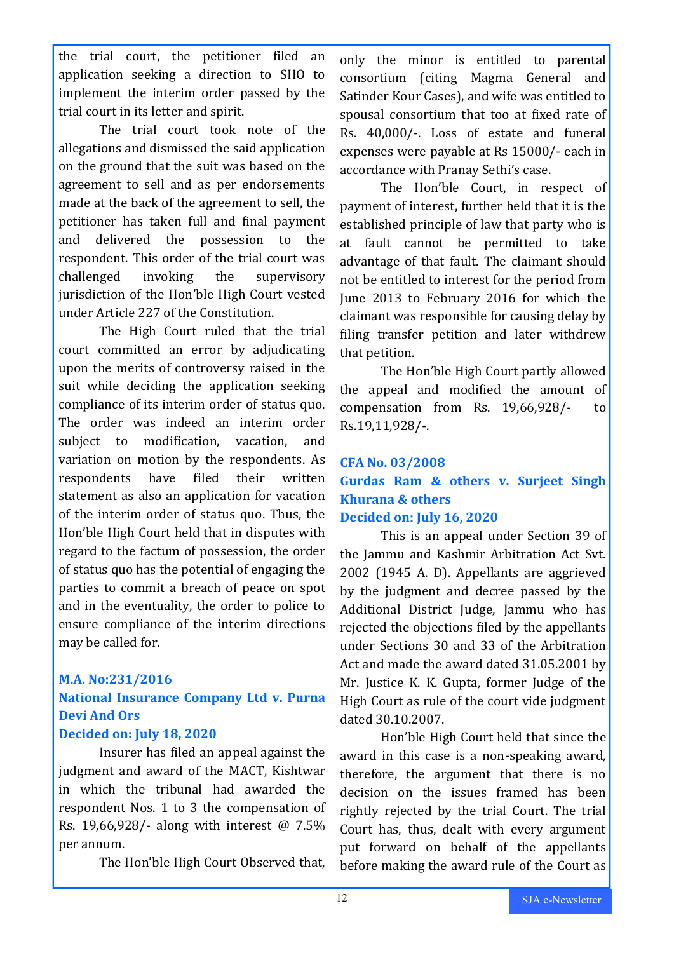the trial court, the petitioner filed an application seeking a direction to SHO to implement the interim order passed by the trial court in its letter and spirit.

The trial court took note of the allegations and dismissed the said application on the ground that the suit was based on the agreement to sell and as per endorsements made at the back of the agreement to sell, the petitioner has taken full and final payment and delivered the possession to the respondent. This order of the trial court was challenged invoking the supervisory jurisdiction of the Hon'ble High Court vested under Article 227 of the Constitution.

The High Court ruled that the trial court committed an error by adjudicating upon the merits of controversy raised in the suit while deciding the application seeking compliance of its interim order of status quo. The order was indeed an interim order subject to modification, vacation, and variation on motion by the respondents. As respondents have filed their written statement as also an application for vacation of the interim order of status quo. Thus, the Hon'ble High Court held that in disputes with regard to the factum of possession, the order of status quo has the potential of engaging the parties to commit a breach of peace on spot and in the eventuality, the order to police to ensure compliance of the interim directions may be called for.

### **M.A. No:231/2016**

### **National Insurance Company Ltd v. Purna Devi And Ors**

### **Decided on: July 18, 2020**

Insurer has filed an appeal against the judgment and award of the MACT, Kishtwar in which the tribunal had awarded the respondent Nos. 1 to 3 the compensation of Rs. 19,66,928/- along with interest @ 7.5% per annum.

The Hon'ble High Court Observed that,

only the minor is entitled to parental consortium (citing Magma General and Satinder Kour Cases), and wife was entitled to spousal consortium that too at fixed rate of Rs. 40,000/-. Loss of estate and funeral expenses were payable at Rs 15000/- each in accordance with Pranay Sethi's case.

The Hon'ble Court, in respect of payment of interest, further held that it is the established principle of law that party who is at fault cannot be permitted to take advantage of that fault. The claimant should not be entitled to interest for the period from June 2013 to February 2016 for which the claimant was responsible for causing delay by filing transfer petition and later withdrew that petition.

The Hon'ble High Court partly allowed the appeal and modified the amount of compensation from Rs. 19,66,928/- to Rs.19,11,928/-.

### **CFA No. 03/2008 Gurdas Ram & others v. Surjeet Singh Khurana & others Decided on: July 16, 2020**

This is an appeal under Section 39 of the Jammu and Kashmir Arbitration Act Svt. 2002 (1945 A. D). Appellants are aggrieved by the judgment and decree passed by the Additional District Judge, Jammu who has rejected the objections filed by the appellants under Sections 30 and 33 of the Arbitration Act and made the award dated 31.05.2001 by Mr. Justice K. K. Gupta, former Judge of the High Court as rule of the court vide judgment dated 30.10.2007.

Hon'ble High Court held that since the award in this case is a non-speaking award, therefore, the argument that there is no decision on the issues framed has been rightly rejected by the trial Court. The trial Court has, thus, dealt with every argument put forward on behalf of the appellants before making the award rule of the Court as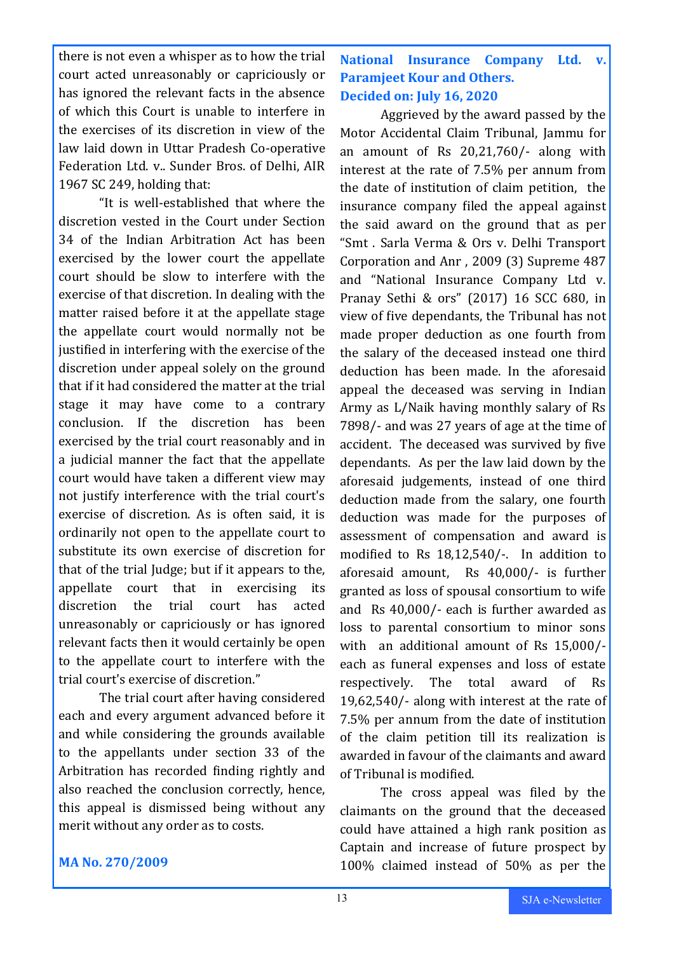there is not even a whisper as to how the trial court acted unreasonably or capriciously or has ignored the relevant facts in the absence of which this Court is unable to interfere in the exercises of its discretion in view of the law laid down in Uttar Pradesh Co-operative Federation Ltd. v.. Sunder Bros. of Delhi, AIR 1967 SC 249, holding that:

"It is well-established that where the discretion vested in the Court under Section 34 of the Indian Arbitration Act has been exercised by the lower court the appellate court should be slow to interfere with the exercise of that discretion. In dealing with the matter raised before it at the appellate stage the appellate court would normally not be justified in interfering with the exercise of the discretion under appeal solely on the ground that if it had considered the matter at the trial stage it may have come to a contrary conclusion. If the discretion has been exercised by the trial court reasonably and in a judicial manner the fact that the appellate court would have taken a different view may not justify interference with the trial court's exercise of discretion. As is often said, it is ordinarily not open to the appellate court to substitute its own exercise of discretion for that of the trial Judge; but if it appears to the, appellate court that in exercising its discretion the trial court has acted unreasonably or capriciously or has ignored relevant facts then it would certainly be open to the appellate court to interfere with the trial court's exercise of discretion."

The trial court after having considered each and every argument advanced before it and while considering the grounds available to the appellants under section 33 of the Arbitration has recorded finding rightly and also reached the conclusion correctly, hence, this appeal is dismissed being without any merit without any order as to costs.

### **National Insurance Company Ltd. Paramjeet Kour and Others. Decided on: July 16, 2020**

Aggrieved by the award passed by the Motor Accidental Claim Tribunal, Jammu for an amount of Rs 20,21,760/- along with interest at the rate of 7.5% per annum from the date of institution of claim petition, the insurance company filed the appeal against the said award on the ground that as per "Smt . Sarla Verma & Ors v. Delhi Transport Corporation and Anr , 2009 (3) Supreme 487 and "National Insurance Company Ltd v. Pranay Sethi & ors" (2017) 16 SCC 680, in view of five dependants, the Tribunal has not made proper deduction as one fourth from the salary of the deceased instead one third deduction has been made. In the aforesaid appeal the deceased was serving in Indian Army as L/Naik having monthly salary of Rs 7898/- and was 27 years of age at the time of accident. The deceased was survived by five dependants. As per the law laid down by the aforesaid judgements, instead of one third deduction made from the salary, one fourth deduction was made for the purposes of assessment of compensation and award is modified to Rs 18,12,540/-. In addition to aforesaid amount, Rs 40,000/- is further granted as loss of spousal consortium to wife and Rs 40,000/- each is further awarded as loss to parental consortium to minor sons with an additional amount of Rs 15,000/ each as funeral expenses and loss of estate respectively. The total award of Rs 19,62,540/- along with interest at the rate of 7.5% per annum from the date of institution of the claim petition till its realization is awarded in favour of the claimants and award of Tribunal is modified.

The cross appeal was filed by the claimants on the ground that the deceased could have attained a high rank position as Captain and increase of future prospect by 100% claimed instead of 50% as per the

### **MA No. 270/2009**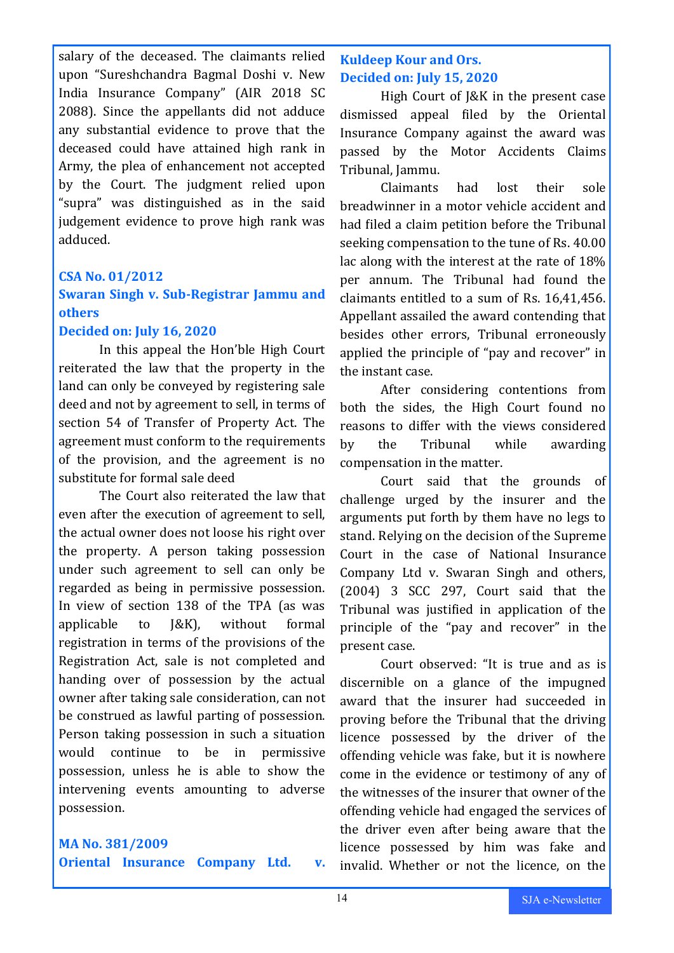salary of the deceased. The claimants relied upon "Sureshchandra Bagmal Doshi v. New India Insurance Company" (AIR 2018 SC 2088). Since the appellants did not adduce any substantial evidence to prove that the deceased could have attained high rank in Army, the plea of enhancement not accepted by the Court. The judgment relied upon "supra" was distinguished as in the said judgement evidence to prove high rank was adduced.

### **CSA No. 01/2012**

### **Swaran Singh v. Sub-Registrar Jammu and others**

### **Decided on: July 16, 2020**

In this appeal the Hon'ble High Court reiterated the law that the property in the land can only be conveyed by registering sale deed and not by agreement to sell, in terms of section 54 of Transfer of Property Act. The agreement must conform to the requirements of the provision, and the agreement is no substitute for formal sale deed

The Court also reiterated the law that even after the execution of agreement to sell, the actual owner does not loose his right over the property. A person taking possession under such agreement to sell can only be regarded as being in permissive possession. In view of section 138 of the TPA (as was applicable to J&K), without formal registration in terms of the provisions of the Registration Act, sale is not completed and handing over of possession by the actual owner after taking sale consideration, can not be construed as lawful parting of possession. Person taking possession in such a situation would continue to be in permissive possession, unless he is able to show the intervening events amounting to adverse possession.

### **MA No. 381/2009**

**Oriental Insurance Company Ltd. v.** 

### **Kuldeep Kour and Ors. Decided on: July 15, 2020**

High Court of J&K in the present case dismissed appeal filed by the Oriental Insurance Company against the award was passed by the Motor Accidents Claims Tribunal, Jammu.

Claimants had lost their sole breadwinner in a motor vehicle accident and had filed a claim petition before the Tribunal seeking compensation to the tune of Rs. 40.00 lac along with the interest at the rate of 18% per annum. The Tribunal had found the claimants entitled to a sum of Rs. 16,41,456. Appellant assailed the award contending that besides other errors, Tribunal erroneously applied the principle of "pay and recover" in the instant case.

After considering contentions from both the sides, the High Court found no reasons to differ with the views considered by the Tribunal while awarding compensation in the matter.

Court said that the grounds of challenge urged by the insurer and the arguments put forth by them have no legs to stand. Relying on the decision of the Supreme Court in the case of National Insurance Company Ltd v. Swaran Singh and others, (2004) 3 SCC 297, Court said that the Tribunal was justified in application of the principle of the "pay and recover" in the present case.

Court observed: "It is true and as is discernible on a glance of the impugned award that the insurer had succeeded in proving before the Tribunal that the driving licence possessed by the driver of the offending vehicle was fake, but it is nowhere come in the evidence or testimony of any of the witnesses of the insurer that owner of the offending vehicle had engaged the services of the driver even after being aware that the licence possessed by him was fake and invalid. Whether or not the licence, on the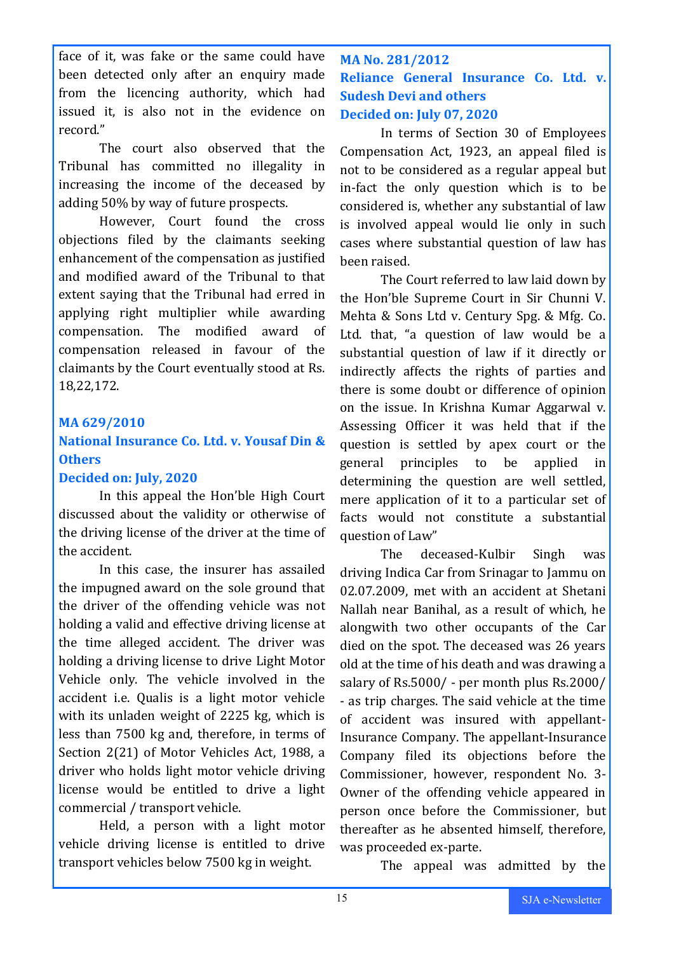face of it, was fake or the same could have been detected only after an enquiry made from the licencing authority, which had issued it, is also not in the evidence on record."

The court also observed that the Tribunal has committed no illegality in increasing the income of the deceased by adding 50% by way of future prospects.

However, Court found the cross objections filed by the claimants seeking enhancement of the compensation as justified and modified award of the Tribunal to that extent saying that the Tribunal had erred in applying right multiplier while awarding compensation. The modified award of compensation released in favour of the claimants by the Court eventually stood at Rs. 18,22,172.

### **MA 629/2010**

### **National Insurance Co. Ltd. v. Yousaf Din & Others**

### **Decided on: July, 2020**

In this appeal the Hon'ble High Court discussed about the validity or otherwise of the driving license of the driver at the time of the accident.

In this case, the insurer has assailed the impugned award on the sole ground that the driver of the offending vehicle was not holding a valid and effective driving license at the time alleged accident. The driver was holding a driving license to drive Light Motor Vehicle only. The vehicle involved in the accident i.e. Qualis is a light motor vehicle with its unladen weight of 2225 kg, which is less than 7500 kg and, therefore, in terms of Section 2(21) of Motor Vehicles Act, 1988, a driver who holds light motor vehicle driving license would be entitled to drive a light commercial / transport vehicle.

Held, a person with a light motor vehicle driving license is entitled to drive transport vehicles below 7500 kg in weight.

### **MA No. 281/2012 Reliance General Insurance Co. Ltd. v. Sudesh Devi and others Decided on: July 07, 2020**

In terms of Section 30 of Employees Compensation Act, 1923, an appeal filed is not to be considered as a regular appeal but in-fact the only question which is to be considered is, whether any substantial of law is involved appeal would lie only in such cases where substantial question of law has been raised.

The Court referred to law laid down by the Hon'ble Supreme Court in Sir Chunni V. Mehta & Sons Ltd v. Century Spg. & Mfg. Co. Ltd. that, "a question of law would be a substantial question of law if it directly or indirectly affects the rights of parties and there is some doubt or difference of opinion on the issue. In Krishna Kumar Aggarwal v. Assessing Officer it was held that if the question is settled by apex court or the general principles to be applied in determining the question are well settled, mere application of it to a particular set of facts would not constitute a substantial question of Law"

The deceased-Kulbir Singh was driving Indica Car from Srinagar to Jammu on 02.07.2009, met with an accident at Shetani Nallah near Banihal, as a result of which, he alongwith two other occupants of the Car died on the spot. The deceased was 26 years old at the time of his death and was drawing a salary of Rs.5000/ - per month plus Rs.2000/ - as trip charges. The said vehicle at the time of accident was insured with appellant-Insurance Company. The appellant-Insurance Company filed its objections before the Commissioner, however, respondent No. 3- Owner of the offending vehicle appeared in person once before the Commissioner, but thereafter as he absented himself, therefore, was proceeded ex-parte.

The appeal was admitted by the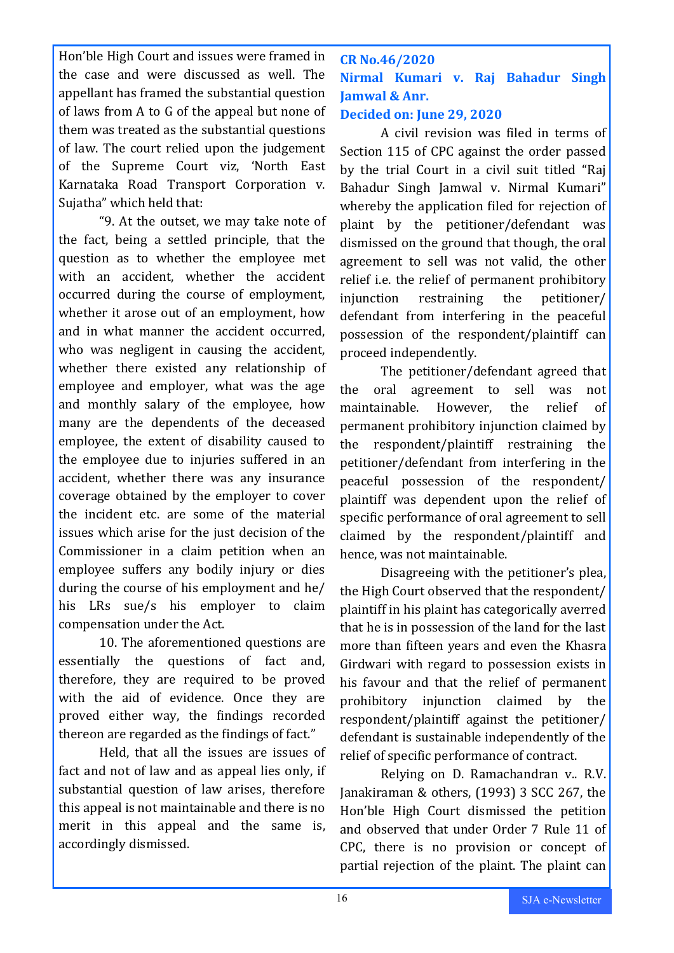Hon'ble High Court and issues were framed in the case and were discussed as well. The appellant has framed the substantial question of laws from A to G of the appeal but none of them was treated as the substantial questions of law. The court relied upon the judgement of the Supreme Court viz, 'North East Karnataka Road Transport Corporation v. Sujatha" which held that:

"9. At the outset, we may take note of the fact, being a settled principle, that the question as to whether the employee met with an accident, whether the accident occurred during the course of employment, whether it arose out of an employment, how and in what manner the accident occurred, who was negligent in causing the accident, whether there existed any relationship of employee and employer, what was the age and monthly salary of the employee, how many are the dependents of the deceased employee, the extent of disability caused to the employee due to injuries suffered in an accident, whether there was any insurance coverage obtained by the employer to cover the incident etc. are some of the material issues which arise for the just decision of the Commissioner in a claim petition when an employee suffers any bodily injury or dies during the course of his employment and he/ his LRs sue/s his employer to claim compensation under the Act.

10. The aforementioned questions are essentially the questions of fact and, therefore, they are required to be proved with the aid of evidence. Once they are proved either way, the findings recorded thereon are regarded as the findings of fact."

Held, that all the issues are issues of fact and not of law and as appeal lies only, if substantial question of law arises, therefore this appeal is not maintainable and there is no merit in this appeal and the same is, accordingly dismissed.

**CR No.46/2020 Nirmal Kumari v. Raj Bahadur Singh Jamwal & Anr.**

### **Decided on: June 29, 2020**

A civil revision was filed in terms of Section 115 of CPC against the order passed by the trial Court in a civil suit titled "Raj Bahadur Singh Jamwal v. Nirmal Kumari" whereby the application filed for rejection of plaint by the petitioner/defendant was dismissed on the ground that though, the oral agreement to sell was not valid, the other relief i.e. the relief of permanent prohibitory injunction restraining the petitioner/ defendant from interfering in the peaceful possession of the respondent/plaintiff can proceed independently.

The petitioner/defendant agreed that the oral agreement to sell was not maintainable. However, the relief of permanent prohibitory injunction claimed by the respondent/plaintiff restraining the petitioner/defendant from interfering in the peaceful possession of the respondent/ plaintiff was dependent upon the relief of specific performance of oral agreement to sell claimed by the respondent/plaintiff and hence, was not maintainable.

Disagreeing with the petitioner's plea, the High Court observed that the respondent/ plaintiff in his plaint has categorically averred that he is in possession of the land for the last more than fifteen years and even the Khasra Girdwari with regard to possession exists in his favour and that the relief of permanent prohibitory injunction claimed by the respondent/plaintiff against the petitioner/ defendant is sustainable independently of the relief of specific performance of contract.

Relying on D. Ramachandran v.. R.V. Janakiraman & others, (1993) 3 SCC 267, the Hon'ble High Court dismissed the petition and observed that under Order 7 Rule 11 of CPC, there is no provision or concept of partial rejection of the plaint. The plaint can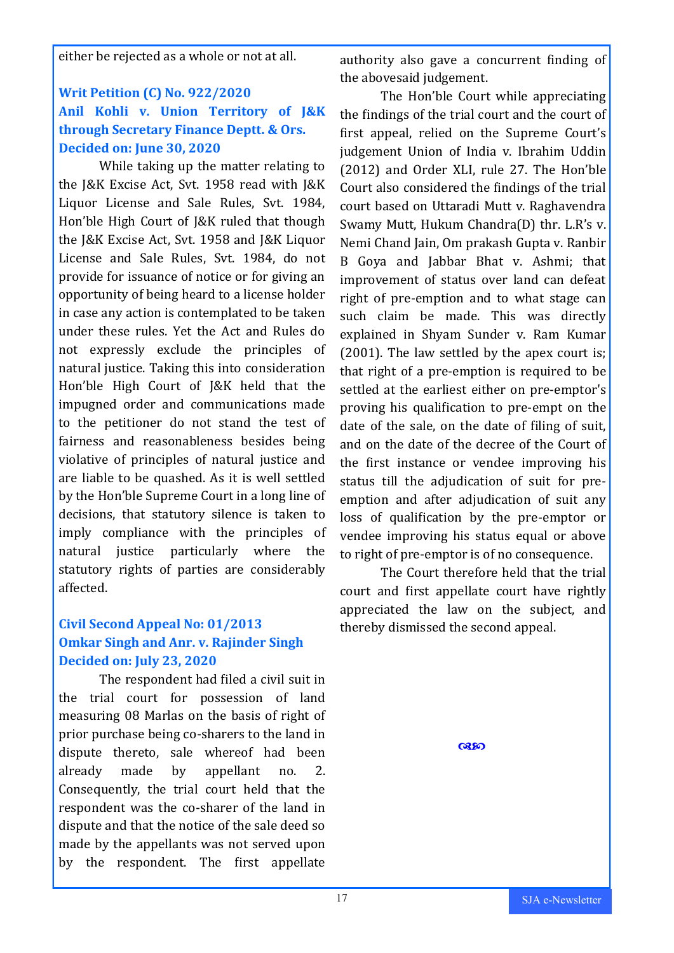either be rejected as a whole or not at all.

### **Writ Petition (C) No. 922/2020 Anil Kohli v. Union Territory of J&K through Secretary Finance Deptt. & Ors. Decided on: June 30, 2020**

While taking up the matter relating to the J&K Excise Act, Svt. 1958 read with J&K Liquor License and Sale Rules, Svt. 1984, Hon'ble High Court of J&K ruled that though the J&K Excise Act, Svt. 1958 and J&K Liquor License and Sale Rules, Svt. 1984, do not provide for issuance of notice or for giving an opportunity of being heard to a license holder in case any action is contemplated to be taken under these rules. Yet the Act and Rules do not expressly exclude the principles of natural justice. Taking this into consideration Hon'ble High Court of J&K held that the impugned order and communications made to the petitioner do not stand the test of fairness and reasonableness besides being violative of principles of natural justice and are liable to be quashed. As it is well settled by the Hon'ble Supreme Court in a long line of decisions, that statutory silence is taken to imply compliance with the principles of natural justice particularly where the statutory rights of parties are considerably affected.

### **Civil Second Appeal No: 01/2013 Omkar Singh and Anr. v. Rajinder Singh Decided on: July 23, 2020**

The respondent had filed a civil suit in the trial court for possession of land measuring 08 Marlas on the basis of right of prior purchase being co-sharers to the land in dispute thereto, sale whereof had been already made by appellant no. 2. Consequently, the trial court held that the respondent was the co-sharer of the land in dispute and that the notice of the sale deed so made by the appellants was not served upon by the respondent. The first appellate

authority also gave a concurrent finding of the abovesaid judgement.

The Hon'ble Court while appreciating the findings of the trial court and the court of first appeal, relied on the Supreme Court's judgement Union of India v. Ibrahim Uddin (2012) and Order XLI, rule 27. The Hon'ble Court also considered the findings of the trial court based on Uttaradi Mutt v. Raghavendra Swamy Mutt, Hukum Chandra(D) thr. L.R's v. Nemi Chand Jain, Om prakash Gupta v. Ranbir B Goya and Jabbar Bhat v. Ashmi; that improvement of status over land can defeat right of pre-emption and to what stage can such claim be made. This was directly explained in Shyam Sunder v. Ram Kumar (2001). The law settled by the apex court is; that right of a pre-emption is required to be settled at the earliest either on pre-emptor's proving his qualification to pre-empt on the date of the sale, on the date of filing of suit, and on the date of the decree of the Court of the first instance or vendee improving his status till the adjudication of suit for preemption and after adjudication of suit any loss of qualification by the pre-emptor or vendee improving his status equal or above to right of pre-emptor is of no consequence.

The Court therefore held that the trial court and first appellate court have rightly appreciated the law on the subject, and thereby dismissed the second appeal.

**Q350**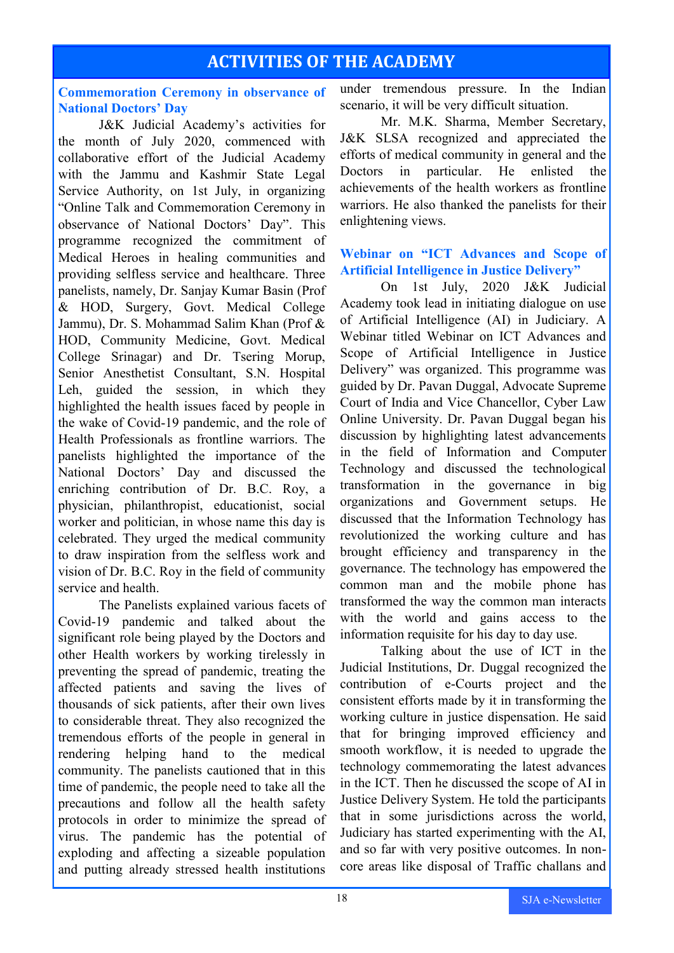### **ACTIVITIES OF THE ACADEMY**

### **Commemoration Ceremony in observance of National Doctors' Day**

J&K Judicial Academy's activities for the month of July 2020, commenced with collaborative effort of the Judicial Academy with the Jammu and Kashmir State Legal Service Authority, on 1st July, in organizing "Online Talk and Commemoration Ceremony in observance of National Doctors' Day". This programme recognized the commitment of Medical Heroes in healing communities and providing selfless service and healthcare. Three panelists, namely, Dr. Sanjay Kumar Basin (Prof & HOD, Surgery, Govt. Medical College Jammu), Dr. S. Mohammad Salim Khan (Prof & HOD, Community Medicine, Govt. Medical College Srinagar) and Dr. Tsering Morup, Senior Anesthetist Consultant, S.N. Hospital Leh, guided the session, in which they highlighted the health issues faced by people in the wake of Covid-19 pandemic, and the role of Health Professionals as frontline warriors. The panelists highlighted the importance of the National Doctors' Day and discussed the enriching contribution of Dr. B.C. Roy, a physician, philanthropist, educationist, social worker and politician, in whose name this day is celebrated. They urged the medical community to draw inspiration from the selfless work and vision of Dr. B.C. Roy in the field of community service and health.

The Panelists explained various facets of Covid-19 pandemic and talked about the significant role being played by the Doctors and other Health workers by working tirelessly in preventing the spread of pandemic, treating the affected patients and saving the lives of thousands of sick patients, after their own lives to considerable threat. They also recognized the tremendous efforts of the people in general in rendering helping hand to the medical community. The panelists cautioned that in this time of pandemic, the people need to take all the precautions and follow all the health safety protocols in order to minimize the spread of virus. The pandemic has the potential of exploding and affecting a sizeable population and putting already stressed health institutions

under tremendous pressure. In the Indian scenario, it will be very difficult situation.

Mr. M.K. Sharma, Member Secretary, J&K SLSA recognized and appreciated the efforts of medical community in general and the Doctors in particular. He enlisted the achievements of the health workers as frontline warriors. He also thanked the panelists for their enlightening views.

### **Webinar on "ICT Advances and Scope of Artificial Intelligence in Justice Delivery"**

On 1st July, 2020 J&K Judicial Academy took lead in initiating dialogue on use of Artificial Intelligence (AI) in Judiciary. A Webinar titled Webinar on ICT Advances and Scope of Artificial Intelligence in Justice Delivery" was organized. This programme was guided by Dr. Pavan Duggal, Advocate Supreme Court of India and Vice Chancellor, Cyber Law Online University. Dr. Pavan Duggal began his discussion by highlighting latest advancements in the field of Information and Computer Technology and discussed the technological transformation in the governance in big organizations and Government setups. He discussed that the Information Technology has revolutionized the working culture and has brought efficiency and transparency in the governance. The technology has empowered the common man and the mobile phone has transformed the way the common man interacts with the world and gains access to the information requisite for his day to day use.

Talking about the use of ICT in the Judicial Institutions, Dr. Duggal recognized the contribution of e-Courts project and the consistent efforts made by it in transforming the working culture in justice dispensation. He said that for bringing improved efficiency and smooth workflow, it is needed to upgrade the technology commemorating the latest advances in the ICT. Then he discussed the scope of AI in Justice Delivery System. He told the participants that in some jurisdictions across the world, Judiciary has started experimenting with the AI, and so far with very positive outcomes. In noncore areas like disposal of Traffic challans and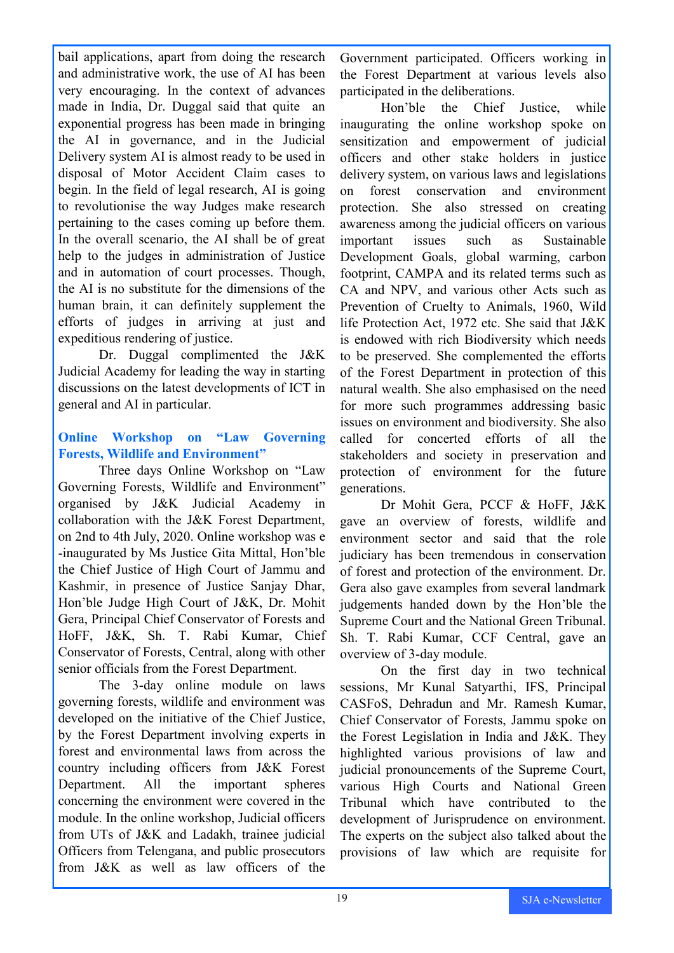bail applications, apart from doing the research and administrative work, the use of AI has been very encouraging. In the context of advances made in India, Dr. Duggal said that quite an exponential progress has been made in bringing the AI in governance, and in the Judicial Delivery system AI is almost ready to be used in disposal of Motor Accident Claim cases to begin. In the field of legal research, AI is going to revolutionise the way Judges make research pertaining to the cases coming up before them. In the overall scenario, the AI shall be of great help to the judges in administration of Justice and in automation of court processes. Though, the AI is no substitute for the dimensions of the human brain, it can definitely supplement the efforts of judges in arriving at just and expeditious rendering of justice.

Dr. Duggal complimented the J&K Judicial Academy for leading the way in starting discussions on the latest developments of ICT in general and AI in particular.

### **Online Workshop on "Law Governing Forests, Wildlife and Environment"**

Three days Online Workshop on "Law Governing Forests, Wildlife and Environment" organised by J&K Judicial Academy in collaboration with the J&K Forest Department, on 2nd to 4th July, 2020. Online workshop was e -inaugurated by Ms Justice Gita Mittal, Hon'ble the Chief Justice of High Court of Jammu and Kashmir, in presence of Justice Sanjay Dhar, Hon'ble Judge High Court of J&K, Dr. Mohit Gera, Principal Chief Conservator of Forests and HoFF, J&K, Sh. T. Rabi Kumar, Chief Conservator of Forests, Central, along with other senior officials from the Forest Department.

The 3-day online module on laws governing forests, wildlife and environment was developed on the initiative of the Chief Justice, by the Forest Department involving experts in forest and environmental laws from across the country including officers from J&K Forest Department. All the important spheres concerning the environment were covered in the module. In the online workshop, Judicial officers from UTs of J&K and Ladakh, trainee judicial Officers from Telengana, and public prosecutors from J&K as well as law officers of the

Government participated. Officers working in the Forest Department at various levels also participated in the deliberations.

Hon'ble the Chief Justice, while inaugurating the online workshop spoke on sensitization and empowerment of judicial officers and other stake holders in justice delivery system, on various laws and legislations on forest conservation and environment protection. She also stressed on creating awareness among the judicial officers on various important issues such as Sustainable Development Goals, global warming, carbon footprint, CAMPA and its related terms such as CA and NPV, and various other Acts such as Prevention of Cruelty to Animals, 1960, Wild life Protection Act, 1972 etc. She said that J&K is endowed with rich Biodiversity which needs to be preserved. She complemented the efforts of the Forest Department in protection of this natural wealth. She also emphasised on the need for more such programmes addressing basic issues on environment and biodiversity. She also called for concerted efforts of all the stakeholders and society in preservation and protection of environment for the future generations.

Dr Mohit Gera, PCCF & HoFF, J&K gave an overview of forests, wildlife and environment sector and said that the role judiciary has been tremendous in conservation of forest and protection of the environment. Dr. Gera also gave examples from several landmark judgements handed down by the Hon'ble the Supreme Court and the National Green Tribunal. Sh. T. Rabi Kumar, CCF Central, gave an overview of 3-day module.

On the first day in two technical sessions, Mr Kunal Satyarthi, IFS, Principal CASFoS, Dehradun and Mr. Ramesh Kumar, Chief Conservator of Forests, Jammu spoke on the Forest Legislation in India and J&K. They highlighted various provisions of law and judicial pronouncements of the Supreme Court, various High Courts and National Green Tribunal which have contributed to the development of Jurisprudence on environment. The experts on the subject also talked about the provisions of law which are requisite for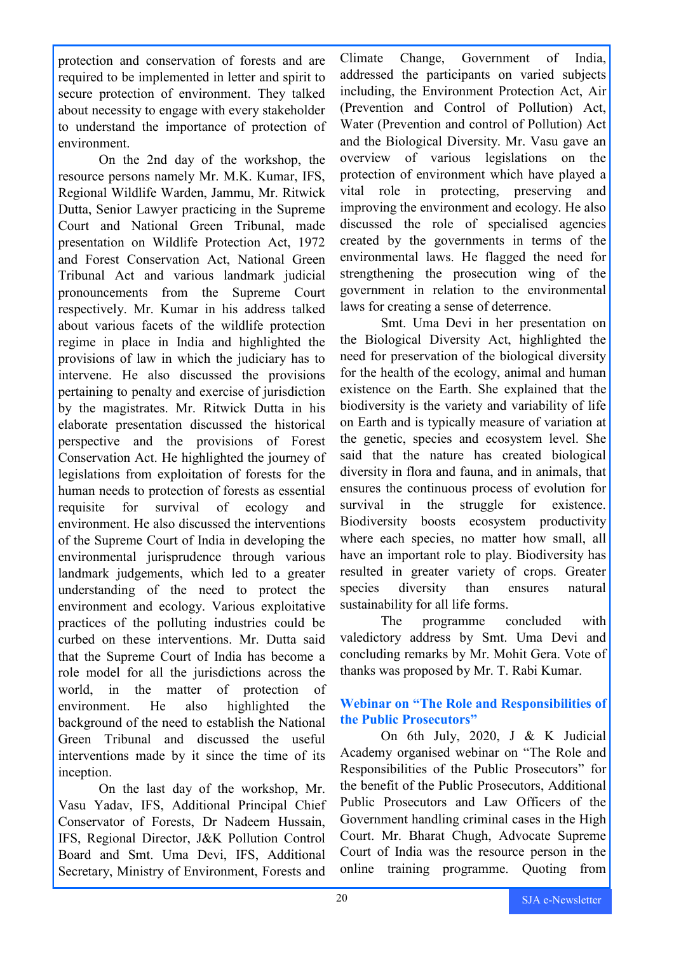protection and conservation of forests and are required to be implemented in letter and spirit to secure protection of environment. They talked about necessity to engage with every stakeholder to understand the importance of protection of environment.

On the 2nd day of the workshop, the resource persons namely Mr. M.K. Kumar, IFS, Regional Wildlife Warden, Jammu, Mr. Ritwick Dutta, Senior Lawyer practicing in the Supreme Court and National Green Tribunal, made presentation on Wildlife Protection Act, 1972 and Forest Conservation Act, National Green Tribunal Act and various landmark judicial pronouncements from the Supreme Court respectively. Mr. Kumar in his address talked about various facets of the wildlife protection regime in place in India and highlighted the provisions of law in which the judiciary has to intervene. He also discussed the provisions pertaining to penalty and exercise of jurisdiction by the magistrates. Mr. Ritwick Dutta in his elaborate presentation discussed the historical perspective and the provisions of Forest Conservation Act. He highlighted the journey of legislations from exploitation of forests for the human needs to protection of forests as essential requisite for survival of ecology and environment. He also discussed the interventions of the Supreme Court of India in developing the environmental jurisprudence through various landmark judgements, which led to a greater understanding of the need to protect the environment and ecology. Various exploitative practices of the polluting industries could be curbed on these interventions. Mr. Dutta said that the Supreme Court of India has become a role model for all the jurisdictions across the world, in the matter of protection of environment. He also highlighted the background of the need to establish the National Green Tribunal and discussed the useful interventions made by it since the time of its inception.

On the last day of the workshop, Mr. Vasu Yadav, IFS, Additional Principal Chief Conservator of Forests, Dr Nadeem Hussain, IFS, Regional Director, J&K Pollution Control Board and Smt. Uma Devi, IFS, Additional Secretary, Ministry of Environment, Forests and

Climate Change, Government of India, addressed the participants on varied subjects including, the Environment Protection Act, Air (Prevention and Control of Pollution) Act, Water (Prevention and control of Pollution) Act and the Biological Diversity. Mr. Vasu gave an overview of various legislations on the protection of environment which have played a vital role in protecting, preserving and improving the environment and ecology. He also discussed the role of specialised agencies created by the governments in terms of the environmental laws. He flagged the need for strengthening the prosecution wing of the government in relation to the environmental laws for creating a sense of deterrence.

Smt. Uma Devi in her presentation on the Biological Diversity Act, highlighted the need for preservation of the biological diversity for the health of the ecology, animal and human existence on the Earth. She explained that the biodiversity is the variety and variability of life on Earth and is typically measure of variation at the genetic, species and ecosystem level. She said that the nature has created biological diversity in flora and fauna, and in animals, that ensures the continuous process of evolution for survival in the struggle for existence. Biodiversity boosts ecosystem productivity where each species, no matter how small, all have an important role to play. Biodiversity has resulted in greater variety of crops. Greater species diversity than ensures natural sustainability for all life forms.

The programme concluded with valedictory address by Smt. Uma Devi and concluding remarks by Mr. Mohit Gera. Vote of thanks was proposed by Mr. T. Rabi Kumar.

### **Webinar on "The Role and Responsibilities of the Public Prosecutors"**

On 6th July, 2020, J & K Judicial Academy organised webinar on "The Role and Responsibilities of the Public Prosecutors" for the benefit of the Public Prosecutors, Additional Public Prosecutors and Law Officers of the Government handling criminal cases in the High Court. Mr. Bharat Chugh, Advocate Supreme Court of India was the resource person in the online training programme. Quoting from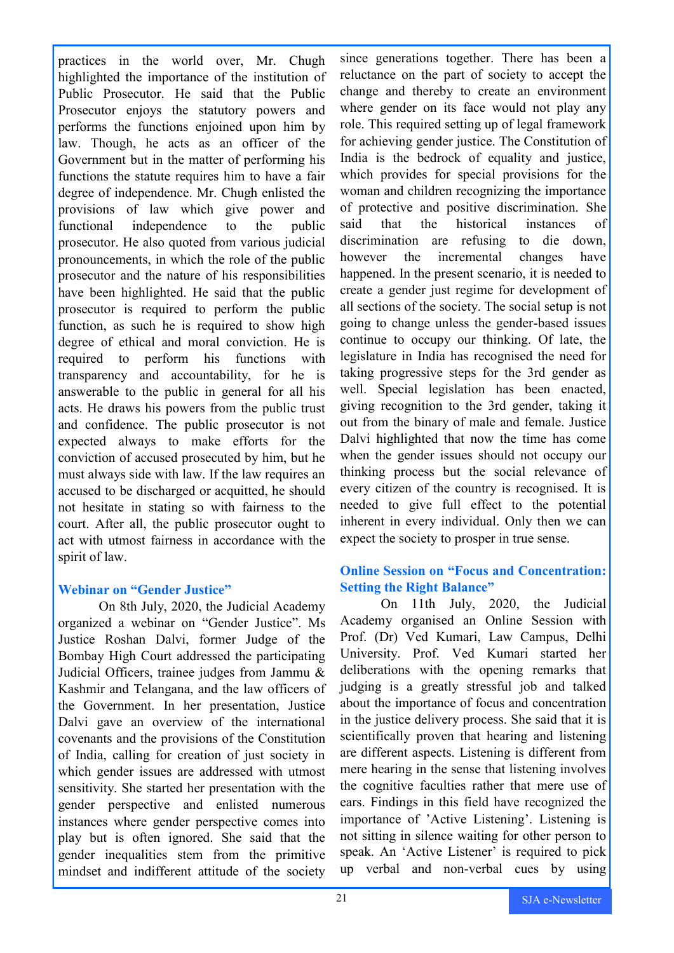practices in the world over, Mr. Chugh highlighted the importance of the institution of Public Prosecutor. He said that the Public Prosecutor enjoys the statutory powers and performs the functions enjoined upon him by law. Though, he acts as an officer of the Government but in the matter of performing his functions the statute requires him to have a fair degree of independence. Mr. Chugh enlisted the provisions of law which give power and functional independence to the public prosecutor. He also quoted from various judicial pronouncements, in which the role of the public prosecutor and the nature of his responsibilities have been highlighted. He said that the public prosecutor is required to perform the public function, as such he is required to show high degree of ethical and moral conviction. He is required to perform his functions with transparency and accountability, for he is answerable to the public in general for all his acts. He draws his powers from the public trust and confidence. The public prosecutor is not expected always to make efforts for the conviction of accused prosecuted by him, but he must always side with law. If the law requires an accused to be discharged or acquitted, he should not hesitate in stating so with fairness to the court. After all, the public prosecutor ought to act with utmost fairness in accordance with the spirit of law.

### **Webinar on "Gender Justice"**

On 8th July, 2020, the Judicial Academy organized a webinar on "Gender Justice". Ms Justice Roshan Dalvi, former Judge of the Bombay High Court addressed the participating Judicial Officers, trainee judges from Jammu & Kashmir and Telangana, and the law officers of the Government. In her presentation, Justice Dalvi gave an overview of the international covenants and the provisions of the Constitution of India, calling for creation of just society in which gender issues are addressed with utmost sensitivity. She started her presentation with the gender perspective and enlisted numerous instances where gender perspective comes into play but is often ignored. She said that the gender inequalities stem from the primitive mindset and indifferent attitude of the society

since generations together. There has been a reluctance on the part of society to accept the change and thereby to create an environment where gender on its face would not play any role. This required setting up of legal framework for achieving gender justice. The Constitution of India is the bedrock of equality and justice, which provides for special provisions for the woman and children recognizing the importance of protective and positive discrimination. She said that the historical instances of discrimination are refusing to die down, however the incremental changes have happened. In the present scenario, it is needed to create a gender just regime for development of all sections of the society. The social setup is not going to change unless the gender-based issues continue to occupy our thinking. Of late, the legislature in India has recognised the need for taking progressive steps for the 3rd gender as well. Special legislation has been enacted, giving recognition to the 3rd gender, taking it out from the binary of male and female. Justice Dalvi highlighted that now the time has come when the gender issues should not occupy our thinking process but the social relevance of every citizen of the country is recognised. It is needed to give full effect to the potential inherent in every individual. Only then we can expect the society to prosper in true sense.

### **Online Session on "Focus and Concentration: Setting the Right Balance"**

On 11th July, 2020, the Judicial Academy organised an Online Session with Prof. (Dr) Ved Kumari, Law Campus, Delhi University. Prof. Ved Kumari started her deliberations with the opening remarks that judging is a greatly stressful job and talked about the importance of focus and concentration in the justice delivery process. She said that it is scientifically proven that hearing and listening are different aspects. Listening is different from mere hearing in the sense that listening involves the cognitive faculties rather that mere use of ears. Findings in this field have recognized the importance of 'Active Listening'. Listening is not sitting in silence waiting for other person to speak. An 'Active Listener' is required to pick up verbal and non-verbal cues by using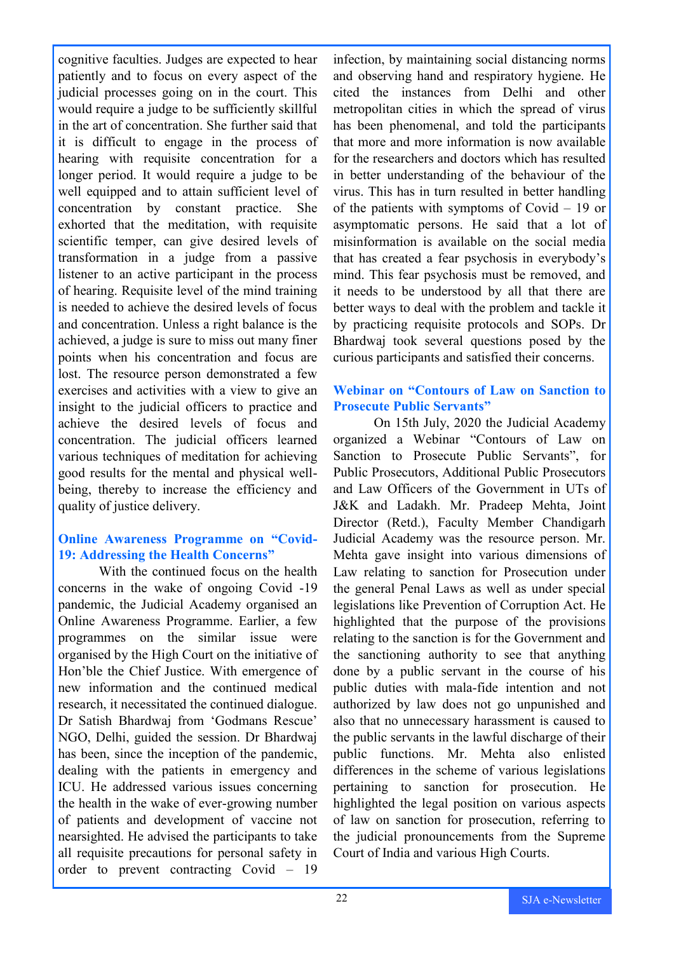cognitive faculties. Judges are expected to hear patiently and to focus on every aspect of the judicial processes going on in the court. This would require a judge to be sufficiently skillful in the art of concentration. She further said that it is difficult to engage in the process of hearing with requisite concentration for a longer period. It would require a judge to be well equipped and to attain sufficient level of concentration by constant practice. She exhorted that the meditation, with requisite scientific temper, can give desired levels of transformation in a judge from a passive listener to an active participant in the process of hearing. Requisite level of the mind training is needed to achieve the desired levels of focus and concentration. Unless a right balance is the achieved, a judge is sure to miss out many finer points when his concentration and focus are lost. The resource person demonstrated a few exercises and activities with a view to give an insight to the judicial officers to practice and achieve the desired levels of focus and concentration. The judicial officers learned various techniques of meditation for achieving good results for the mental and physical wellbeing, thereby to increase the efficiency and quality of justice delivery.

### **Online Awareness Programme on "Covid-19: Addressing the Health Concerns"**

With the continued focus on the health concerns in the wake of ongoing Covid -19 pandemic, the Judicial Academy organised an Online Awareness Programme. Earlier, a few programmes on the similar issue were organised by the High Court on the initiative of Hon'ble the Chief Justice. With emergence of new information and the continued medical research, it necessitated the continued dialogue. Dr Satish Bhardwaj from 'Godmans Rescue' NGO, Delhi, guided the session. Dr Bhardwaj has been, since the inception of the pandemic, dealing with the patients in emergency and ICU. He addressed various issues concerning the health in the wake of ever-growing number of patients and development of vaccine not nearsighted. He advised the participants to take all requisite precautions for personal safety in order to prevent contracting Covid – 19

infection, by maintaining social distancing norms and observing hand and respiratory hygiene. He cited the instances from Delhi and other metropolitan cities in which the spread of virus has been phenomenal, and told the participants that more and more information is now available for the researchers and doctors which has resulted in better understanding of the behaviour of the virus. This has in turn resulted in better handling of the patients with symptoms of Covid – 19 or asymptomatic persons. He said that a lot of misinformation is available on the social media that has created a fear psychosis in everybody's mind. This fear psychosis must be removed, and it needs to be understood by all that there are better ways to deal with the problem and tackle it by practicing requisite protocols and SOPs. Dr Bhardwaj took several questions posed by the curious participants and satisfied their concerns.

### **Webinar on "Contours of Law on Sanction to Prosecute Public Servants"**

On 15th July, 2020 the Judicial Academy organized a Webinar "Contours of Law on Sanction to Prosecute Public Servants", for Public Prosecutors, Additional Public Prosecutors and Law Officers of the Government in UTs of J&K and Ladakh. Mr. Pradeep Mehta, Joint Director (Retd.), Faculty Member Chandigarh Judicial Academy was the resource person. Mr. Mehta gave insight into various dimensions of Law relating to sanction for Prosecution under the general Penal Laws as well as under special legislations like Prevention of Corruption Act. He highlighted that the purpose of the provisions relating to the sanction is for the Government and the sanctioning authority to see that anything done by a public servant in the course of his public duties with mala-fide intention and not authorized by law does not go unpunished and also that no unnecessary harassment is caused to the public servants in the lawful discharge of their public functions. Mr. Mehta also enlisted differences in the scheme of various legislations pertaining to sanction for prosecution. He highlighted the legal position on various aspects of law on sanction for prosecution, referring to the judicial pronouncements from the Supreme Court of India and various High Courts.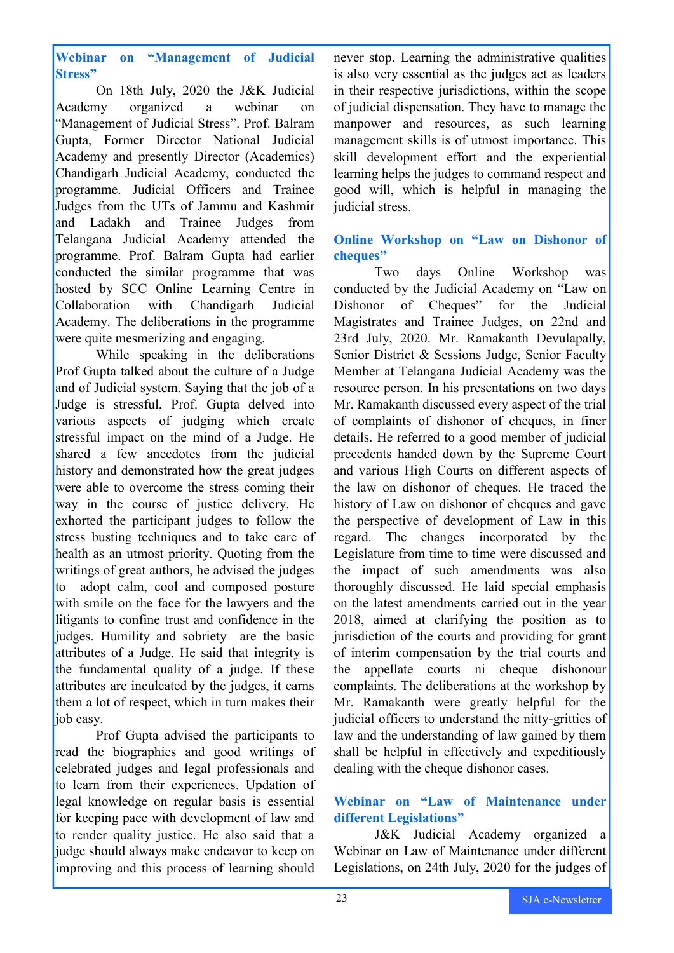**Webinar on "Management of Judicial Stress"**

On 18th July, 2020 the J&K Judicial Academy organized a webinar on "Management of Judicial Stress". Prof. Balram Gupta, Former Director National Judicial Academy and presently Director (Academics) Chandigarh Judicial Academy, conducted the programme. Judicial Officers and Trainee Judges from the UTs of Jammu and Kashmir and Ladakh and Trainee Judges from Telangana Judicial Academy attended the programme. Prof. Balram Gupta had earlier conducted the similar programme that was hosted by SCC Online Learning Centre in Collaboration with Chandigarh Judicial Academy. The deliberations in the programme were quite mesmerizing and engaging.

While speaking in the deliberations Prof Gupta talked about the culture of a Judge and of Judicial system. Saying that the job of a Judge is stressful, Prof. Gupta delved into various aspects of judging which create stressful impact on the mind of a Judge. He shared a few anecdotes from the judicial history and demonstrated how the great judges were able to overcome the stress coming their way in the course of justice delivery. He exhorted the participant judges to follow the stress busting techniques and to take care of health as an utmost priority. Quoting from the writings of great authors, he advised the judges to adopt calm, cool and composed posture with smile on the face for the lawyers and the litigants to confine trust and confidence in the judges. Humility and sobriety are the basic attributes of a Judge. He said that integrity is the fundamental quality of a judge. If these attributes are inculcated by the judges, it earns them a lot of respect, which in turn makes their iob easy.

Prof Gupta advised the participants to read the biographies and good writings of celebrated judges and legal professionals and to learn from their experiences. Updation of legal knowledge on regular basis is essential for keeping pace with development of law and to render quality justice. He also said that a judge should always make endeavor to keep on improving and this process of learning should never stop. Learning the administrative qualities is also very essential as the judges act as leaders in their respective jurisdictions, within the scope of judicial dispensation. They have to manage the manpower and resources, as such learning management skills is of utmost importance. This skill development effort and the experiential learning helps the judges to command respect and good will, which is helpful in managing the judicial stress.

### **Online Workshop on "Law on Dishonor of cheques"**

Two days Online Workshop was conducted by the Judicial Academy on "Law on Dishonor of Cheques" for the Judicial Magistrates and Trainee Judges, on 22nd and 23rd July, 2020. Mr. Ramakanth Devulapally, Senior District & Sessions Judge, Senior Faculty Member at Telangana Judicial Academy was the resource person. In his presentations on two days Mr. Ramakanth discussed every aspect of the trial of complaints of dishonor of cheques, in finer details. He referred to a good member of judicial precedents handed down by the Supreme Court and various High Courts on different aspects of the law on dishonor of cheques. He traced the history of Law on dishonor of cheques and gave the perspective of development of Law in this regard. The changes incorporated by the Legislature from time to time were discussed and the impact of such amendments was also thoroughly discussed. He laid special emphasis on the latest amendments carried out in the year 2018, aimed at clarifying the position as to jurisdiction of the courts and providing for grant of interim compensation by the trial courts and the appellate courts ni cheque dishonour complaints. The deliberations at the workshop by Mr. Ramakanth were greatly helpful for the judicial officers to understand the nitty-gritties of law and the understanding of law gained by them shall be helpful in effectively and expeditiously dealing with the cheque dishonor cases.

### **Webinar on "Law of Maintenance under different Legislations"**

J&K Judicial Academy organized a Webinar on Law of Maintenance under different Legislations, on 24th July, 2020 for the judges of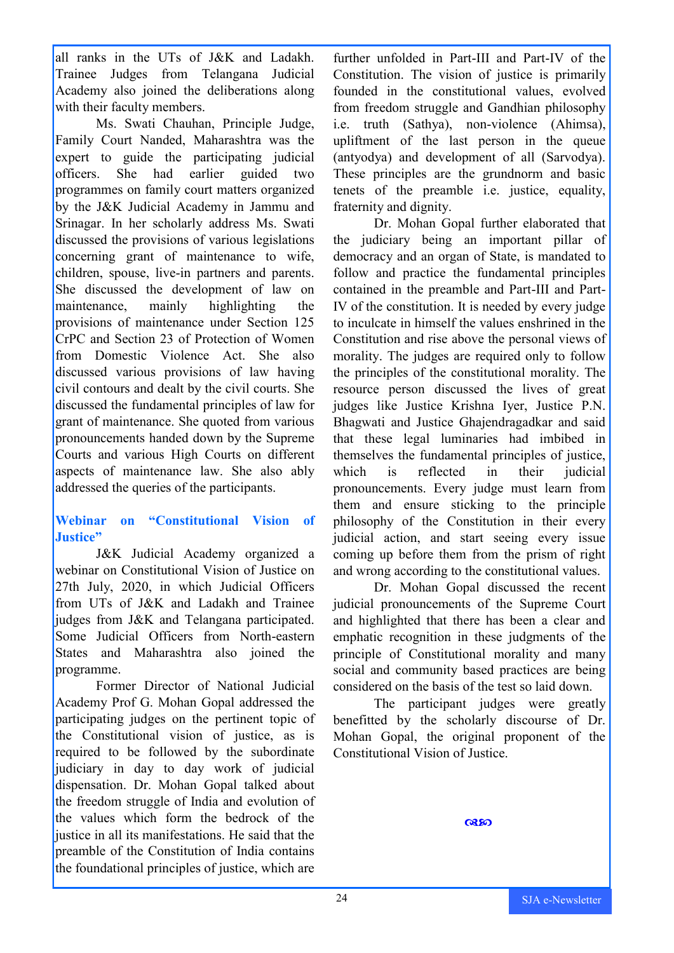all ranks in the UTs of J&K and Ladakh. Trainee Judges from Telangana Judicial Academy also joined the deliberations along with their faculty members.

Ms. Swati Chauhan, Principle Judge, Family Court Nanded, Maharashtra was the expert to guide the participating judicial officers. She had earlier guided two programmes on family court matters organized by the J&K Judicial Academy in Jammu and Srinagar. In her scholarly address Ms. Swati discussed the provisions of various legislations concerning grant of maintenance to wife, children, spouse, live-in partners and parents. She discussed the development of law on maintenance, mainly highlighting the provisions of maintenance under Section 125 CrPC and Section 23 of Protection of Women from Domestic Violence Act. She also discussed various provisions of law having civil contours and dealt by the civil courts. She discussed the fundamental principles of law for grant of maintenance. She quoted from various pronouncements handed down by the Supreme Courts and various High Courts on different aspects of maintenance law. She also ably addressed the queries of the participants.

### **Webinar on "Constitutional Vision of Justice"**

J&K Judicial Academy organized a webinar on Constitutional Vision of Justice on 27th July, 2020, in which Judicial Officers from UTs of J&K and Ladakh and Trainee judges from J&K and Telangana participated. Some Judicial Officers from North-eastern States and Maharashtra also joined the programme.

Former Director of National Judicial Academy Prof G. Mohan Gopal addressed the participating judges on the pertinent topic of the Constitutional vision of justice, as is required to be followed by the subordinate judiciary in day to day work of judicial dispensation. Dr. Mohan Gopal talked about the freedom struggle of India and evolution of the values which form the bedrock of the justice in all its manifestations. He said that the preamble of the Constitution of India contains the foundational principles of justice, which are

further unfolded in Part-III and Part-IV of the Constitution. The vision of justice is primarily founded in the constitutional values, evolved from freedom struggle and Gandhian philosophy i.e. truth (Sathya), non-violence (Ahimsa), upliftment of the last person in the queue (antyodya) and development of all (Sarvodya). These principles are the grundnorm and basic tenets of the preamble i.e. justice, equality, fraternity and dignity.

Dr. Mohan Gopal further elaborated that the judiciary being an important pillar of democracy and an organ of State, is mandated to follow and practice the fundamental principles contained in the preamble and Part-III and Part-IV of the constitution. It is needed by every judge to inculcate in himself the values enshrined in the Constitution and rise above the personal views of morality. The judges are required only to follow the principles of the constitutional morality. The resource person discussed the lives of great judges like Justice Krishna Iyer, Justice P.N. Bhagwati and Justice Ghajendragadkar and said that these legal luminaries had imbibed in themselves the fundamental principles of justice, which is reflected in their judicial pronouncements. Every judge must learn from them and ensure sticking to the principle philosophy of the Constitution in their every judicial action, and start seeing every issue coming up before them from the prism of right and wrong according to the constitutional values.

Dr. Mohan Gopal discussed the recent judicial pronouncements of the Supreme Court and highlighted that there has been a clear and emphatic recognition in these judgments of the principle of Constitutional morality and many social and community based practices are being considered on the basis of the test so laid down.

The participant judges were greatly benefitted by the scholarly discourse of Dr. Mohan Gopal, the original proponent of the Constitutional Vision of Justice.

෬෨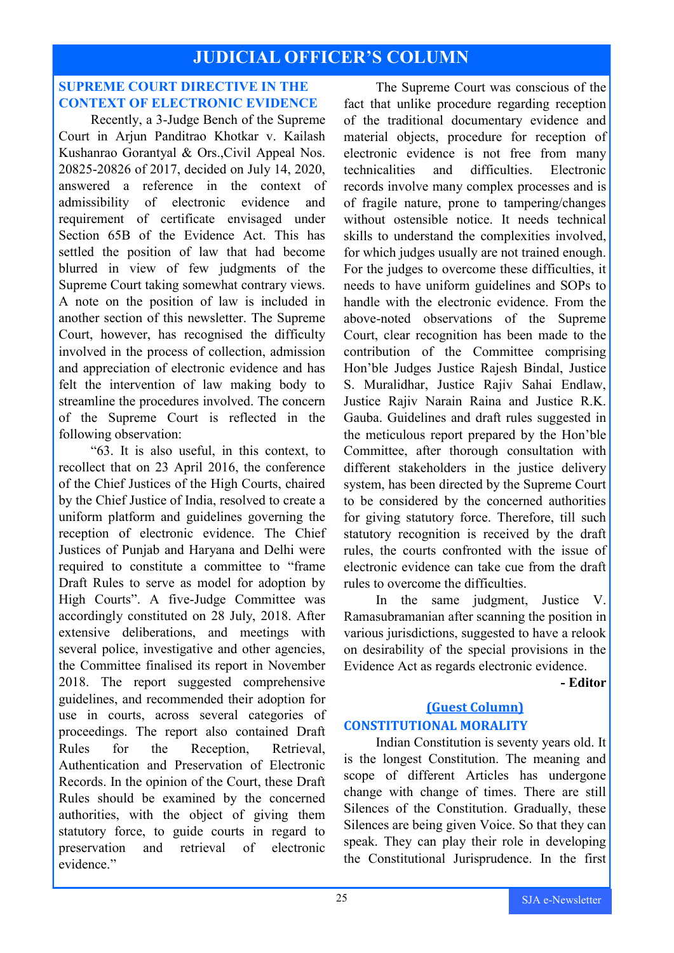### **JUDICIAL OFFICER'S COLUMN**

### **SUPREME COURT DIRECTIVE IN THE CONTEXT OF ELECTRONIC EVIDENCE**

Recently, a 3-Judge Bench of the Supreme Court in Arjun Panditrao Khotkar v. Kailash Kushanrao Gorantyal & Ors.,Civil Appeal Nos. 20825-20826 of 2017, decided on July 14, 2020, answered a reference in the context of admissibility of electronic evidence and requirement of certificate envisaged under Section 65B of the Evidence Act. This has settled the position of law that had become blurred in view of few judgments of the Supreme Court taking somewhat contrary views. A note on the position of law is included in another section of this newsletter. The Supreme Court, however, has recognised the difficulty involved in the process of collection, admission and appreciation of electronic evidence and has felt the intervention of law making body to streamline the procedures involved. The concern of the Supreme Court is reflected in the following observation:

"63. It is also useful, in this context, to recollect that on 23 April 2016, the conference of the Chief Justices of the High Courts, chaired by the Chief Justice of India, resolved to create a uniform platform and guidelines governing the reception of electronic evidence. The Chief Justices of Punjab and Haryana and Delhi were required to constitute a committee to "frame Draft Rules to serve as model for adoption by High Courts". A five-Judge Committee was accordingly constituted on 28 July, 2018. After extensive deliberations, and meetings with several police, investigative and other agencies, the Committee finalised its report in November 2018. The report suggested comprehensive guidelines, and recommended their adoption for use in courts, across several categories of proceedings. The report also contained Draft Rules for the Reception, Retrieval, Authentication and Preservation of Electronic Records. In the opinion of the Court, these Draft Rules should be examined by the concerned authorities, with the object of giving them statutory force, to guide courts in regard to preservation and retrieval of electronic evidence."

The Supreme Court was conscious of the fact that unlike procedure regarding reception of the traditional documentary evidence and material objects, procedure for reception of electronic evidence is not free from many technicalities and difficulties. Electronic records involve many complex processes and is of fragile nature, prone to tampering/changes without ostensible notice. It needs technical skills to understand the complexities involved, for which judges usually are not trained enough. For the judges to overcome these difficulties, it needs to have uniform guidelines and SOPs to handle with the electronic evidence. From the above-noted observations of the Supreme Court, clear recognition has been made to the contribution of the Committee comprising Hon'ble Judges Justice Rajesh Bindal, Justice S. Muralidhar, Justice Rajiv Sahai Endlaw, Justice Rajiv Narain Raina and Justice R.K. Gauba. Guidelines and draft rules suggested in the meticulous report prepared by the Hon'ble Committee, after thorough consultation with different stakeholders in the justice delivery system, has been directed by the Supreme Court to be considered by the concerned authorities for giving statutory force. Therefore, till such statutory recognition is received by the draft rules, the courts confronted with the issue of electronic evidence can take cue from the draft rules to overcome the difficulties.

In the same judgment, Justice V. Ramasubramanian after scanning the position in various jurisdictions, suggested to have a relook on desirability of the special provisions in the Evidence Act as regards electronic evidence.

**- Editor**

### **(Guest Column) CONSTITUTIONAL MORALITY**

Indian Constitution is seventy years old. It is the longest Constitution. The meaning and scope of different Articles has undergone change with change of times. There are still Silences of the Constitution. Gradually, these Silences are being given Voice. So that they can speak. They can play their role in developing the Constitutional Jurisprudence. In the first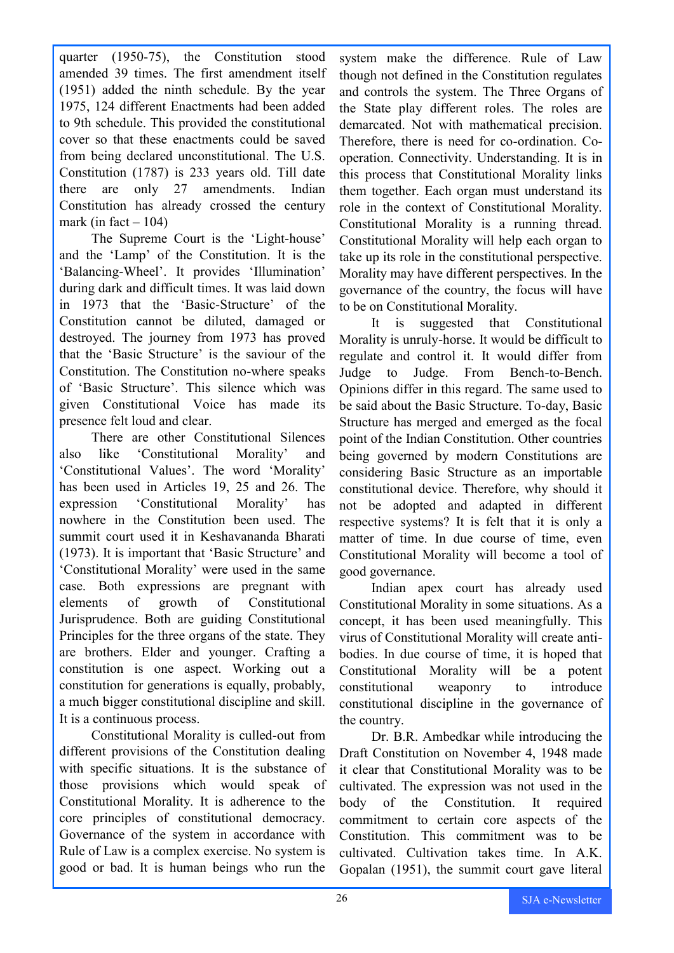quarter (1950-75), the Constitution stood amended 39 times. The first amendment itself (1951) added the ninth schedule. By the year 1975, 124 different Enactments had been added to 9th schedule. This provided the constitutional cover so that these enactments could be saved from being declared unconstitutional. The U.S. Constitution (1787) is 233 years old. Till date there are only 27 amendments. Indian Constitution has already crossed the century mark (in fact  $-104$ )

The Supreme Court is the 'Light-house' and the 'Lamp' of the Constitution. It is the 'Balancing-Wheel'. It provides 'Illumination' during dark and difficult times. It was laid down in 1973 that the 'Basic-Structure' of the Constitution cannot be diluted, damaged or destroyed. The journey from 1973 has proved that the 'Basic Structure' is the saviour of the Constitution. The Constitution no-where speaks of 'Basic Structure'. This silence which was given Constitutional Voice has made its presence felt loud and clear.

There are other Constitutional Silences also like 'Constitutional Morality' and 'Constitutional Values'. The word 'Morality' has been used in Articles 19, 25 and 26. The expression 'Constitutional Morality' has nowhere in the Constitution been used. The summit court used it in Keshavananda Bharati (1973). It is important that 'Basic Structure' and 'Constitutional Morality' were used in the same case. Both expressions are pregnant with elements of growth of Constitutional Jurisprudence. Both are guiding Constitutional Principles for the three organs of the state. They are brothers. Elder and younger. Crafting a constitution is one aspect. Working out a constitution for generations is equally, probably, a much bigger constitutional discipline and skill. It is a continuous process.

Constitutional Morality is culled-out from different provisions of the Constitution dealing with specific situations. It is the substance of those provisions which would speak of Constitutional Morality. It is adherence to the core principles of constitutional democracy. Governance of the system in accordance with Rule of Law is a complex exercise. No system is good or bad. It is human beings who run the

system make the difference. Rule of Law though not defined in the Constitution regulates and controls the system. The Three Organs of the State play different roles. The roles are demarcated. Not with mathematical precision. Therefore, there is need for co-ordination. Cooperation. Connectivity. Understanding. It is in this process that Constitutional Morality links them together. Each organ must understand its role in the context of Constitutional Morality. Constitutional Morality is a running thread. Constitutional Morality will help each organ to take up its role in the constitutional perspective. Morality may have different perspectives. In the governance of the country, the focus will have to be on Constitutional Morality.

It is suggested that Constitutional Morality is unruly-horse. It would be difficult to regulate and control it. It would differ from Judge to Judge. From Bench-to-Bench. Opinions differ in this regard. The same used to be said about the Basic Structure. To-day, Basic Structure has merged and emerged as the focal point of the Indian Constitution. Other countries being governed by modern Constitutions are considering Basic Structure as an importable constitutional device. Therefore, why should it not be adopted and adapted in different respective systems? It is felt that it is only a matter of time. In due course of time, even Constitutional Morality will become a tool of good governance.

Indian apex court has already used Constitutional Morality in some situations. As a concept, it has been used meaningfully. This virus of Constitutional Morality will create antibodies. In due course of time, it is hoped that Constitutional Morality will be a potent constitutional weaponry to introduce constitutional discipline in the governance of the country.

Dr. B.R. Ambedkar while introducing the Draft Constitution on November 4, 1948 made it clear that Constitutional Morality was to be cultivated. The expression was not used in the body of the Constitution. It required commitment to certain core aspects of the Constitution. This commitment was to be cultivated. Cultivation takes time. In A.K. Gopalan (1951), the summit court gave literal